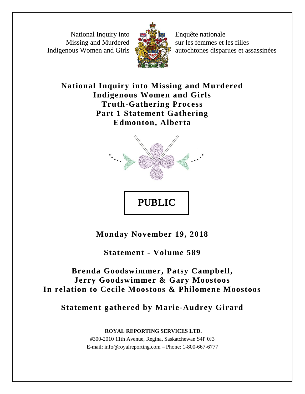National Inquiry into Missing and Murdered Indigenous Women and Girls



Enquête nationale sur les femmes et les filles autochtones disparues et assassinées

## **National Inquiry into Missing and Murdered Indigenous Women and Girls Truth-Gathering Process Part 1 Statement Gathering Edmonton, Alberta**



**Monday November 19, 2018**

**Statement - Volume 589**

# **Brenda Goodswimmer, Patsy Campbell, Jerry Goodswimmer & Gary Moostoos In relation to Cecile Moostoos & Philomene Moostoos**

**Statement gathered by Marie-Audrey Girard**

**ROYAL REPORTING SERVICES LTD.** #300-2010 11th Avenue, Regina, Saskatchewan S4P 0J3 E-mail: info@royalreporting.com – Phone: 1-800-667-6777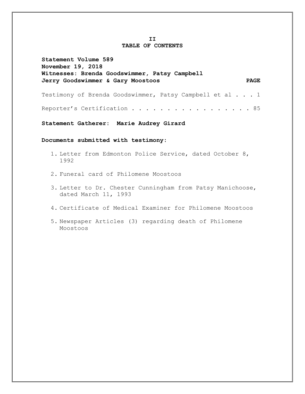#### **II TABLE OF CONTENTS**

| Statement Volume 589<br>November 19, 2018<br>Witnesses: Brenda Goodswimmer, Patsy Campbell |             |
|--------------------------------------------------------------------------------------------|-------------|
| Jerry Goodswimmer & Gary Moostoos                                                          | <b>PAGE</b> |
| Testimony of Brenda Goodswimmer, Patsy Campbell et al 1                                    |             |
| Reporter's Certification 85                                                                |             |

**Statement Gatherer: Marie Audrey Girard**

**Documents submitted with testimony:** 

- 1. Letter from Edmonton Police Service, dated October 8, 1992
- 2. Funeral card of Philomene Moostoos
- 3. Letter to Dr. Chester Cunningham from Patsy Manichoose, dated March 11, 1993
- 4. Certificate of Medical Examiner for Philomene Moostoos
- 5. Newspaper Articles (3) regarding death of Philomene Moostoos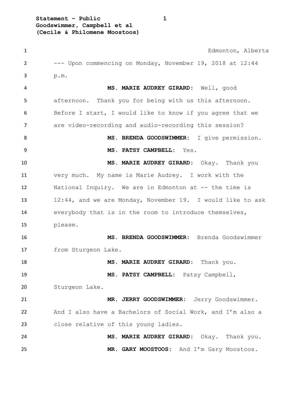**Statement – Public 1 Goodswimmer, Campbell et al (Cecile & Philomene Moostoos)**

 Edmonton, Alberta --- Upon commencing on Monday, November 19, 2018 at 12:44 p.m. **MS. MARIE AUDREY GIRARD:** Well, good afternoon. Thank you for being with us this afternoon. Before I start, I would like to know if you agree that we are video-recording and audio-recording this session? **MS. BRENDA GOODSWIMMER:** I give permission. **MS. PATSY CAMPBELL:** Yes. **MS. MARIE AUDREY GIRARD:** Okay. Thank you very much. My name is Marie Audrey. I work with the National Inquiry. We are in Edmonton at -- the time is 12:44, and we are Monday, November 19. I would like to ask everybody that is in the room to introduce themselves, please. **MS. BRENDA GOODSWIMMER:** Brenda Goodswimmer from Sturgeon Lake. **MS. MARIE AUDREY GIRARD:** Thank you. **MS. PATSY CAMPBELL:** Patsy Campbell, Sturgeon Lake. **MR. JERRY GOODSWIMMER:** Jerry Goodswimmer. And I also have a Bachelors of Social Work, and I'm also a close relative of this young ladies. **MS. MARIE AUDREY GIRARD:** Okay. Thank you. **MR. GARY MOOSTOOS:** And I'm Gary Moostoos.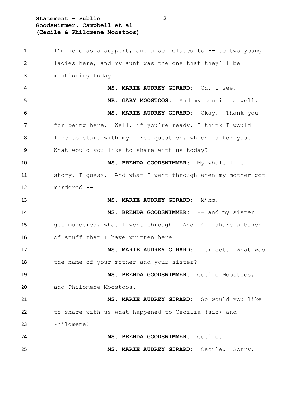### **Statement – Public 2 Goodswimmer, Campbell et al (Cecile & Philomene Moostoos)**

 I'm here as a support, and also related to -- to two young ladies here, and my aunt was the one that they'll be mentioning today. **MS. MARIE AUDREY GIRARD:** Oh, I see. **MR. GARY MOOSTOOS:** And my cousin as well. **MS. MARIE AUDREY GIRARD:** Okay. Thank you 7 for being here. Well, if you're ready, I think I would like to start with my first question, which is for you. What would you like to share with us today? **MS. BRENDA GOODSWIMMER:** My whole life story, I guess. And what I went through when my mother got murdered -- **MS. MARIE AUDREY GIRARD:** M'hm. **MS. BRENDA GOODSWIMMER:** -- and my sister got murdered, what I went through. And I'll share a bunch of stuff that I have written here. **MS. MARIE AUDREY GIRARD:** Perfect. What was 18 the name of your mother and your sister? **MS. BRENDA GOODSWIMMER:** Cecile Moostoos, and Philomene Moostoos. **MS. MARIE AUDREY GIRARD:** So would you like to share with us what happened to Cecilia (sic) and Philomene? **MS. BRENDA GOODSWIMMER:** Cecile. **MS. MARIE AUDREY GIRARD:** Cecile. Sorry.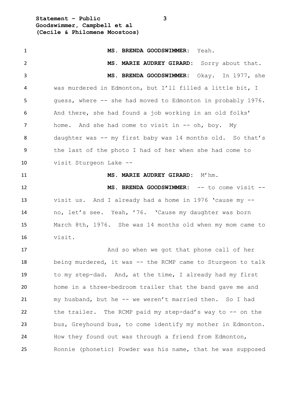**Statement – Public 3 Goodswimmer, Campbell et al (Cecile & Philomene Moostoos)**

| $\mathbf{1}$   | MS. BRENDA GOODSWIMMER: Yeah.                               |
|----------------|-------------------------------------------------------------|
| $\overline{2}$ | MS. MARIE AUDREY GIRARD: Sorry about that.                  |
| 3              | MS. BRENDA GOODSWIMMER: Okay. In 1977, she                  |
| 4              | was murdered in Edmonton, but I'll filled a little bit, I   |
| 5              | quess, where -- she had moved to Edmonton in probably 1976. |
| 6              | And there, she had found a job working in an old folks'     |
| 7              | home. And she had come to visit in -- oh, boy. My           |
| 8              | daughter was -- my first baby was 14 months old. So that's  |
| 9              | the last of the photo I had of her when she had come to     |
| 10             | visit Sturgeon Lake --                                      |
| 11             | MS. MARIE AUDREY GIRARD: M'hm.                              |
| 12             | MS. BRENDA GOODSWIMMER: -- to come visit --                 |
| 13             | visit us. And I already had a home in 1976 'cause my --     |
| 14             | no, let's see. Yeah, '76. 'Cause my daughter was born       |
| 15             | March 8th, 1976. She was 14 months old when my mom came to  |
| 16             | visit.                                                      |
| 17             | And so when we got that phone call of her                   |
| 18             | being murdered, it was -- the RCMP came to Sturgeon to talk |
| 19             | to my step-dad. And, at the time, I already had my first    |
| 20             | home in a three-bedroom trailer that the band gave me and   |
| 21             | my husband, but he -- we weren't married then. So I had     |
| 22             | the trailer. The RCMP paid my step-dad's way to -- on the   |
| 23             | bus, Greyhound bus, to come identify my mother in Edmonton. |
| 24             | How they found out was through a friend from Edmonton,      |
| 25             | Ronnie (phonetic) Powder was his name, that he was supposed |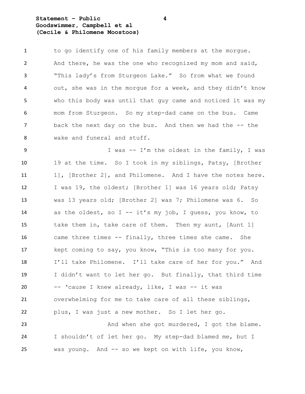#### **Statement – Public 4 Goodswimmer, Campbell et al (Cecile & Philomene Moostoos)**

 to go identify one of his family members at the morgue. And there, he was the one who recognized my mom and said, "This lady's from Sturgeon Lake." So from what we found out, she was in the morgue for a week, and they didn't know who this body was until that guy came and noticed it was my mom from Sturgeon. So my step-dad came on the bus. Came 7 back the next day on the bus. And then we had the -- the wake and funeral and stuff.

 I was -- I'm the oldest in the family, I was 19 at the time. So I took in my siblings, Patsy, [Brother 11 1], [Brother 2], and Philomene. And I have the notes here. I was 19, the oldest; [Brother 1] was 16 years old; Patsy was 13 years old; [Brother 2] was 7; Philomene was 6. So as the oldest, so I -- it's my job, I guess, you know, to take them in, take care of them. Then my aunt, [Aunt 1] came three times -- finally, three times she came. She kept coming to say, you know, "This is too many for you. I'll take Philomene. I'll take care of her for you." And I didn't want to let her go. But finally, that third time -- 'cause I knew already, like, I was -- it was overwhelming for me to take care of all these siblings, plus, I was just a new mother. So I let her go. And when she got murdered, I got the blame.

 I shouldn't of let her go. My step-dad blamed me, but I was young. And -- so we kept on with life, you know,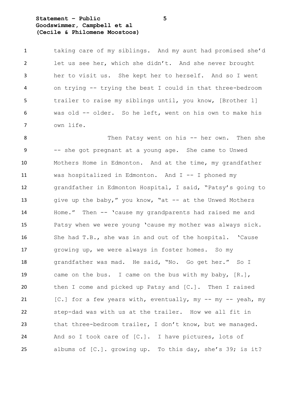**Statement – Public 5 Goodswimmer, Campbell et al (Cecile & Philomene Moostoos)**

 taking care of my siblings. And my aunt had promised she'd let us see her, which she didn't. And she never brought her to visit us. She kept her to herself. And so I went on trying -- trying the best I could in that three-bedroom trailer to raise my siblings until, you know, [Brother 1] was old -- older. So he left, went on his own to make his own life.

 Then Patsy went on his -- her own. Then she -- she got pregnant at a young age. She came to Unwed Mothers Home in Edmonton. And at the time, my grandfather was hospitalized in Edmonton. And I -- I phoned my grandfather in Edmonton Hospital, I said, "Patsy's going to 13 give up the baby," you know, "at -- at the Unwed Mothers Home." Then -- 'cause my grandparents had raised me and Patsy when we were young 'cause my mother was always sick. She had T.B., she was in and out of the hospital. 'Cause growing up, we were always in foster homes. So my grandfather was mad. He said, "No. Go get her." So I came on the bus. I came on the bus with my baby, [R.], then I come and picked up Patsy and [C.]. Then I raised 21 [C.] for a few years with, eventually, my -- my -- yeah, my step-dad was with us at the trailer. How we all fit in 23 that three-bedroom trailer, I don't know, but we managed. And so I took care of [C.]. I have pictures, lots of albums of [C.]. growing up. To this day, she's 39; is it?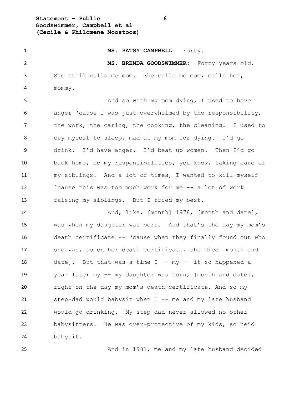**Statement – Public 6 Goodswimmer, Campbell et al (Cecile & Philomene Moostoos)**

 **MS. PATSY CAMPBELL:** Forty. **MS. BRENDA GOODSWIMMER:** Forty years old. She still calls me mom. She calls me mom, calls her, mommy. 5 And so with my mom dying, I used to have anger 'cause I was just overwhelmed by the responsibility, 7 the work, the caring, the cooking, the cleaning. I used to cry myself to sleep, mad at my mom for dying. I'd go drink. I'd have anger. I'd beat up women. Then I'd go back home, do my responsibilities, you know, taking care of my siblings. And a lot of times, I wanted to kill myself 'cause this was too much work for me -- a lot of work raising my siblings. But I tried my best. 14 And, like, [month] 1978, [month and date], was when my daughter was born. And that's the day my mom's death certificate -- 'cause when they finally found out who she was, so on her death certificate, she died [month and 18 date]. But that was a time  $I - - my - it$  so happened a year later my -- my daughter was born, [month and date], right on the day my mom's death certificate. And so my step-dad would babysit when I -- me and my late husband would go drinking. My step-dad never allowed no other babysitters. He was over-protective of my kids, so he'd

babysit.

And in 1981, me and my late husband decided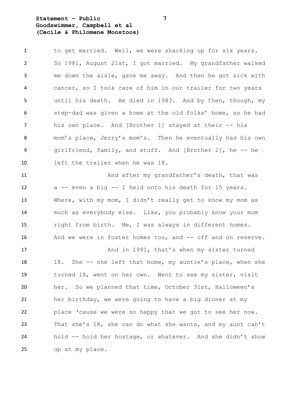### **Statement – Public 7 Goodswimmer, Campbell et al (Cecile & Philomene Moostoos)**

1 to get married. Well, we were shacking up for six years. So 1981, August 21st, I got married. My grandfather walked me down the aisle, gave me away. And then he got sick with cancer, so I took care of him in our trailer for two years until his death. He died in 1983. And by then, though, my step-dad was given a home at the old folks' home, so he had his own place. And [Brother 1] stayed at their -- his mom's place, Jerry's mom's. Then he eventually had his own girlfriend, family, and stuff. And [Brother 2], he -- he left the trailer when he was 18.

11 And after my grandfather's death, that was a -- even a big -- I held onto his death for 15 years. Where, with my mom, I didn't really get to know my mom as much as everybody else. Like, you probably know your mom right from birth. Me, I was always in different homes. 16 And we were in foster homes too, and -- off and on reserve.

17 And in 1991, that's when my sister turned 18 18. She -- she left that home, my auntie's place, when she turned 18, went on her own. Went to see my sister, visit her. So we planned that time, October 31st, Halloween's her birthday, we were going to have a big dinner at my place 'cause we were so happy that we got to see her now. That she's 18, she can do what she wants, and my aunt can't hold -- hold her hostage, or whatever. And she didn't show up at my place.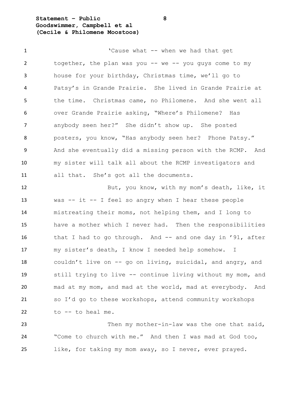**Statement – Public 8 Goodswimmer, Campbell et al (Cecile & Philomene Moostoos)**

1 The Cause what -- when we had that get 2 together, the plan was you -- we -- you guys come to my house for your birthday, Christmas time, we'll go to Patsy's in Grande Prairie. She lived in Grande Prairie at the time. Christmas came, no Philomene. And she went all over Grande Prairie asking, "Where's Philomene? Has anybody seen her?" She didn't show up. She posted posters, you know, "Has anybody seen her? Phone Patsy." And she eventually did a missing person with the RCMP. And my sister will talk all about the RCMP investigators and all that. She's got all the documents. But, you know, with my mom's death, like, it was -- it -- I feel so angry when I hear these people mistreating their moms, not helping them, and I long to have a mother which I never had. Then the responsibilities 16 that I had to go through. And -- and one day in '91, after my sister's death, I know I needed help somehow. I couldn't live on -- go on living, suicidal, and angry, and still trying to live -- continue living without my mom, and mad at my mom, and mad at the world, mad at everybody. And so I'd go to these workshops, attend community workshops to -- to heal me.

 Then my mother-in-law was the one that said, "Come to church with me." And then I was mad at God too, like, for taking my mom away, so I never, ever prayed.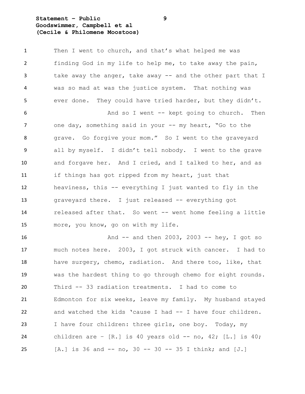### **Statement – Public 9 Goodswimmer, Campbell et al (Cecile & Philomene Moostoos)**

1 Then I went to church, and that's what helped me was finding God in my life to help me, to take away the pain, 3 take away the anger, take away -- and the other part that I was so mad at was the justice system. That nothing was ever done. They could have tried harder, but they didn't. 6 And so I went -- kept going to church. Then 7 one day, something said in your -- my heart, "Go to the 8 grave. Go forgive your mom." So I went to the graveyard all by myself. I didn't tell nobody. I went to the grave and forgave her. And I cried, and I talked to her, and as if things has got ripped from my heart, just that heaviness, this -- everything I just wanted to fly in the graveyard there. I just released -- everything got released after that. So went -- went home feeling a little more, you know, go on with my life.

 And -- and then 2003, 2003 -- hey, I got so much notes here. 2003, I got struck with cancer. I had to have surgery, chemo, radiation. And there too, like, that was the hardest thing to go through chemo for eight rounds. Third -- 33 radiation treatments. I had to come to Edmonton for six weeks, leave my family. My husband stayed and watched the kids 'cause I had -- I have four children. I have four children: three girls, one boy. Today, my 24 children are  $-$  [R.] is 40 years old  $-$  no, 42; [L.] is 40; [A.] is 36 and -- no, 30 -- 30 -- 35 I think; and [J.]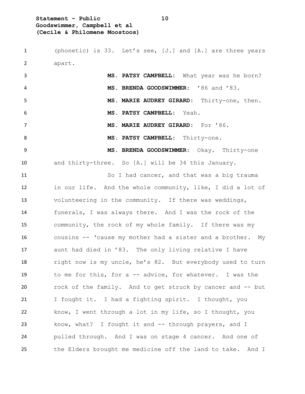**Statement – Public 10 Goodswimmer, Campbell et al (Cecile & Philomene Moostoos)**

 (phonetic) is 33. Let's see, [J.] and [A.] are three years apart. **MS. PATSY CAMPBELL:** What year was he born? **MS. BRENDA GOODSWIMMER:** '86 and '83. **MS. MARIE AUDREY GIRARD:** Thirty-one, then. **MS. PATSY CAMPBELL:** Yeah. **MS. MARIE AUDREY GIRARD:** For '86. 8 MS. PATSY CAMPBELL: Thirty-one. **MS. BRENDA GOODSWIMMER:** Okay. Thirty-one and thirty-three. So [A.] will be 34 this January. 11 So I had cancer, and that was a big trauma in our life. And the whole community, like, I did a lot of volunteering in the community. If there was weddings, funerals, I was always there. And I was the rock of the community, the rock of my whole family. If there was my cousins -- 'cause my mother had a sister and a brother. My aunt had died in '83. The only living relative I have 18 right now is my uncle, he's 82. But everybody used to turn to me for this, for a -- advice, for whatever. I was the rock of the family. And to get struck by cancer and -- but I fought it. I had a fighting spirit. I thought, you know, I went through a lot in my life, so I thought, you 23 know, what? I fought it and -- through prayers, and I pulled through. And I was on stage 4 cancer. And one of the Elders brought me medicine off the land to take. And I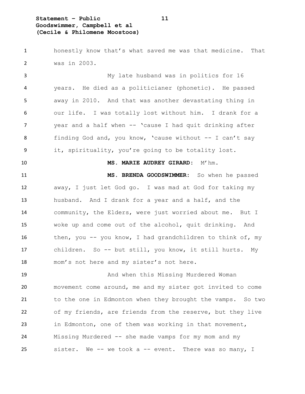**Statement – Public 11 Goodswimmer, Campbell et al (Cecile & Philomene Moostoos)**

 honestly know that's what saved me was that medicine. That was in 2003.

 My late husband was in politics for 16 years. He died as a politicianer (phonetic). He passed away in 2010. And that was another devastating thing in our life. I was totally lost without him. I drank for a year and a half when -- 'cause I had quit drinking after 8 finding God and, you know, 'cause without -- I can't say it, spirituality, you're going to be totality lost.

**MS. MARIE AUDREY GIRARD:** M'hm.

 **MS. BRENDA GOODSWIMMER:** So when he passed away, I just let God go. I was mad at God for taking my husband. And I drank for a year and a half, and the community, the Elders, were just worried about me. But I woke up and come out of the alcohol, quit drinking. And 16 then, you -- you know, I had grandchildren to think of, my children. So -- but still, you know, it still hurts. My mom's not here and my sister's not here.

 And when this Missing Murdered Woman movement come around, me and my sister got invited to come to the one in Edmonton when they brought the vamps. So two of my friends, are friends from the reserve, but they live in Edmonton, one of them was working in that movement, Missing Murdered -- she made vamps for my mom and my 25 sister. We -- we took a -- event. There was so many, I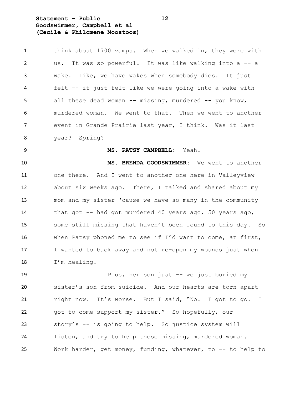**Statement – Public 12 Goodswimmer, Campbell et al (Cecile & Philomene Moostoos)**

1 think about 1700 vamps. When we walked in, they were with us. It was so powerful. It was like walking into a -- a wake. Like, we have wakes when somebody dies. It just felt -- it just felt like we were going into a wake with 5 all these dead woman -- missing, murdered -- you know, murdered woman. We went to that. Then we went to another event in Grande Prairie last year, I think. Was it last year? Spring? **MS. PATSY CAMPBELL:** Yeah. **MS. BRENDA GOODSWIMMER:** We went to another one there. And I went to another one here in Valleyview about six weeks ago. There, I talked and shared about my mom and my sister 'cause we have so many in the community 14 that got -- had got murdered 40 years ago, 50 years ago, some still missing that haven't been found to this day. So when Patsy phoned me to see if I'd want to come, at first, I wanted to back away and not re-open my wounds just when I'm healing. 19 Plus, her son just -- we just buried my

 sister's son from suicide. And our hearts are torn apart right now. It's worse. But I said, "No. I got to go. I got to come support my sister." So hopefully, our story's -- is going to help. So justice system will listen, and try to help these missing, murdered woman. Work harder, get money, funding, whatever, to -- to help to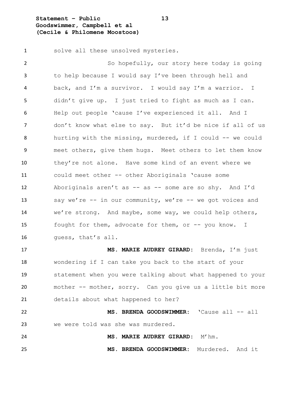**Statement – Public 13 Goodswimmer, Campbell et al (Cecile & Philomene Moostoos)**

solve all these unsolved mysteries.

 So hopefully, our story here today is going to help because I would say I've been through hell and back, and I'm a survivor. I would say I'm a warrior. I didn't give up. I just tried to fight as much as I can. Help out people 'cause I've experienced it all. And I don't know what else to say. But it'd be nice if all of us hurting with the missing, murdered, if I could -- we could meet others, give them hugs. Meet others to let them know they're not alone. Have some kind of an event where we could meet other -- other Aboriginals 'cause some Aboriginals aren't as -- as -- some are so shy. And I'd say we're -- in our community, we're -- we got voices and we're strong. And maybe, some way, we could help others, 15 fought for them, advocate for them, or -- you know. I guess, that's all.

 **MS. MARIE AUDREY GIRARD:** Brenda, I'm just wondering if I can take you back to the start of your statement when you were talking about what happened to your mother -- mother, sorry. Can you give us a little bit more details about what happened to her?

 **MS. BRENDA GOODSWIMMER:** 'Cause all -- all we were told was she was murdered. **MS. MARIE AUDREY GIRARD:** M'hm.

**MS. BRENDA GOODSWIMMER:** Murdered. And it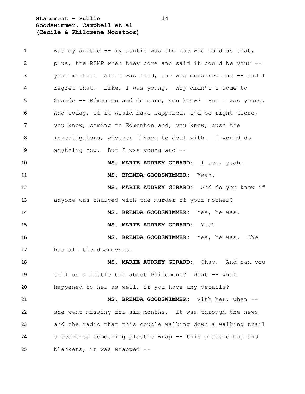**Statement – Public 14 Goodswimmer, Campbell et al (Cecile & Philomene Moostoos)**

| $\mathbf{1}$ | was my auntie $-$ my auntie was the one who told us that,   |
|--------------|-------------------------------------------------------------|
| 2            | plus, the RCMP when they come and said it could be your --  |
| 3            | your mother. All I was told, she was murdered and -- and I  |
| 4            | regret that. Like, I was young. Why didn't I come to        |
| 5            | Grande -- Edmonton and do more, you know? But I was young.  |
| 6            | And today, if it would have happened, I'd be right there,   |
| 7            | you know, coming to Edmonton and, you know, push the        |
| 8            | investigators, whoever I have to deal with. I would do      |
| 9            | anything now. But I was young and $-$ -                     |
| 10           | MS. MARIE AUDREY GIRARD: I see, yeah.                       |
| 11           | MS. BRENDA GOODSWIMMER: Yeah.                               |
| 12           | MS. MARIE AUDREY GIRARD: And do you know if                 |
| 13           | anyone was charged with the murder of your mother?          |
| 14           | MS. BRENDA GOODSWIMMER: Yes, he was.                        |
| 15           | MS. MARIE AUDREY GIRARD: Yes?                               |
| 16           | MS. BRENDA GOODSWIMMER: Yes, he was. She                    |
| 17           | has all the documents.                                      |
| 18           | MS. MARIE AUDREY GIRARD: Okay. And can you                  |
| 19           | tell us a little bit about Philomene? What -- what          |
| 20           | happened to her as well, if you have any details?           |
| 21           | MS. BRENDA GOODSWIMMER:<br>With her, when --                |
| 22           | she went missing for six months. It was through the news    |
| 23           | and the radio that this couple walking down a walking trail |
| 24           | discovered something plastic wrap -- this plastic bag and   |
| 25           | blankets, it was wrapped --                                 |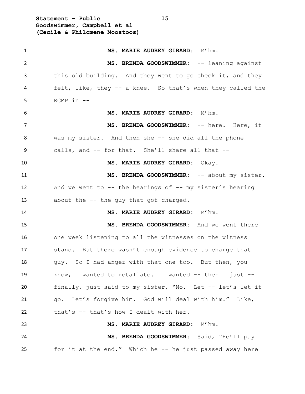**Statement – Public 15 Goodswimmer, Campbell et al (Cecile & Philomene Moostoos)**

| $\mathbf{1}$ | MS. MARIE AUDREY GIRARD: M'hm.                               |
|--------------|--------------------------------------------------------------|
| 2            | MS. BRENDA GOODSWIMMER: -- leaning against                   |
| 3            | this old building. And they went to go check it, and they    |
| 4            | felt, like, they -- a knee. So that's when they called the   |
| 5            | RCMP in --                                                   |
| 6            | MS. MARIE AUDREY GIRARD: M'hm.                               |
| 7            | MS. BRENDA GOODSWIMMER: -- here. Here, it                    |
| 8            | was my sister. And then she -- she did all the phone         |
| 9            | calls, and -- for that. She'll share all that --             |
| 10           | MS. MARIE AUDREY GIRARD: Okay.                               |
| 11           | MS. BRENDA GOODSWIMMER: -- about my sister.                  |
| 12           | And we went to $--$ the hearings of $--$ my sister's hearing |
| 13           | about the -- the guy that got charged.                       |
| 14           | MS. MARIE AUDREY GIRARD: M'hm.                               |
| 15           | MS. BRENDA GOODSWIMMER: And we went there                    |
| 16           | one week listening to all the witnesses on the witness       |
| 17           | stand. But there wasn't enough evidence to charge that       |
| 18           | guy. So I had anger with that one too. But then, you         |
| 19           | know, I wanted to retaliate. I wanted $-$ then I just $-$    |
| 20           | finally, just said to my sister, "No. Let -- let's let it    |
| 21           | go. Let's forgive him. God will deal with him." Like,        |
| 22           | that's -- that's how I dealt with her.                       |
| 23           | MS. MARIE AUDREY GIRARD: M'hm.                               |
| 24           | MS. BRENDA GOODSWIMMER: Said, "He'll pay                     |
| 25           | for it at the end." Which he -- he just passed away here     |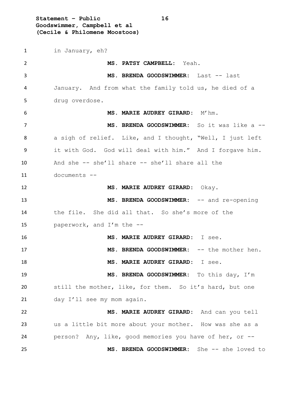**Statement – Public 16 Goodswimmer, Campbell et al (Cecile & Philomene Moostoos)**

 in January, eh? **MS. PATSY CAMPBELL:** Yeah. **MS. BRENDA GOODSWIMMER:** Last -- last January. And from what the family told us, he died of a drug overdose. **MS. MARIE AUDREY GIRARD:** M'hm. **MS. BRENDA GOODSWIMMER:** So it was like a -- a sigh of relief. Like, and I thought, "Well, I just left it with God. God will deal with him." And I forgave him. And she -- she'll share -- she'll share all the documents -- **MS. MARIE AUDREY GIRARD:** Okay. 13 MS. BRENDA GOODSWIMMER: -- and re-opening the file. She did all that. So she's more of the paperwork, and I'm the -- **MS. MARIE AUDREY GIRARD:** I see. **MS. BRENDA GOODSWIMMER:** -- the mother hen. **MS. MARIE AUDREY GIRARD:** I see. **MS. BRENDA GOODSWIMMER:** To this day, I'm still the mother, like, for them. So it's hard, but one 21 day I'll see my mom again. **MS. MARIE AUDREY GIRARD:** And can you tell us a little bit more about your mother. How was she as a person? Any, like, good memories you have of her, or -- **MS. BRENDA GOODSWIMMER:** She -- she loved to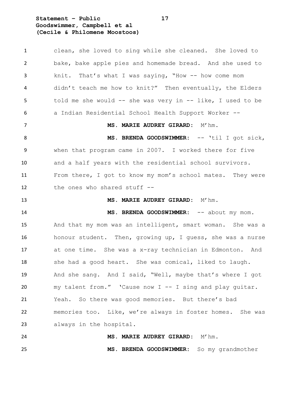**Statement – Public 17 Goodswimmer, Campbell et al (Cecile & Philomene Moostoos)**

 clean, she loved to sing while she cleaned. She loved to bake, bake apple pies and homemade bread. And she used to knit. That's what I was saying, "How -- how come mom didn't teach me how to knit?" Then eventually, the Elders told me she would -- she was very in -- like, I used to be a Indian Residential School Health Support Worker -- **MS. MARIE AUDREY GIRARD:** M'hm. 8 MS. BRENDA GOODSWIMMER: -- 'til I got sick, when that program came in 2007. I worked there for five and a half years with the residential school survivors. From there, I got to know my mom's school mates. They were the ones who shared stuff -- **MS. MARIE AUDREY GIRARD:** M'hm. **MS. BRENDA GOODSWIMMER:**  $--$  about my mom. And that my mom was an intelligent, smart woman. She was a honour student. Then, growing up, I guess, she was a nurse at one time. She was a x-ray technician in Edmonton. And 18 she had a good heart. She was comical, liked to laugh. And she sang. And I said, "Well, maybe that's where I got my talent from." 'Cause now I -- I sing and play guitar. Yeah. So there was good memories. But there's bad memories too. Like, we're always in foster homes. She was always in the hospital. **MS. MARIE AUDREY GIRARD:** M'hm. **MS. BRENDA GOODSWIMMER:** So my grandmother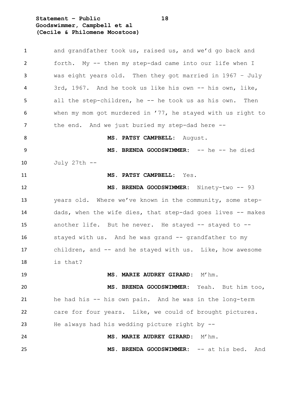**Statement – Public 18 Goodswimmer, Campbell et al (Cecile & Philomene Moostoos)**

| $\mathbf{1}$ | and grandfather took us, raised us, and we'd go back and    |
|--------------|-------------------------------------------------------------|
| 2            | forth. My -- then my step-dad came into our life when I     |
| 3            | was eight years old. Then they got married in 1967 - July   |
| 4            | 3rd, 1967. And he took us like his own -- his own, like,    |
| 5            | all the step-children, he -- he took us as his own. Then    |
| 6            | when my mom got murdered in '77, he stayed with us right to |
| 7            | the end. And we just buried my step-dad here --             |
| 8            | MS. PATSY CAMPBELL: August.                                 |
| 9            | MS. BRENDA GOODSWIMMER: -- he -- he died                    |
| 10           | July 27th --                                                |
| 11           | MS. PATSY CAMPBELL: Yes.                                    |
| 12           | MS. BRENDA GOODSWIMMER: Ninety-two -- 93                    |
| 13           | years old. Where we've known in the community, some step-   |
| 14           | dads, when the wife dies, that step-dad goes lives -- makes |
| 15           | another life. But he never. He stayed -- stayed to --       |
| 16           | stayed with us. And he was grand -- grandfather to my       |
| 17           | children, and -- and he stayed with us. Like, how awesome   |
| 18           | is that?                                                    |
| 19           | MS. MARIE AUDREY GIRARD: M'hm.                              |
| 20           | MS. BRENDA GOODSWIMMER: Yeah. But him too,                  |
| 21           | he had his -- his own pain. And he was in the long-term     |
| 22           | care for four years. Like, we could of brought pictures.    |
| 23           | He always had his wedding picture right by $-$ -            |
| 24           | MS. MARIE AUDREY GIRARD: M'hm.                              |
| 25           | MS. BRENDA GOODSWIMMER: -- at his bed.<br>And               |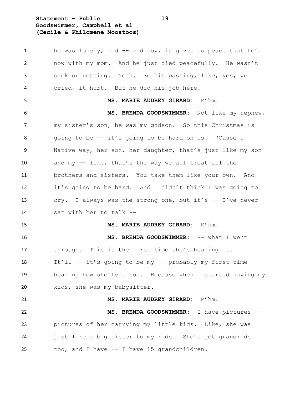**Statement – Public 19 Goodswimmer, Campbell et al (Cecile & Philomene Moostoos)**

1 he was lonely, and -- and now, it gives us peace that he's now with my mom. And he just died peacefully. He wasn't sick or nothing. Yeah. So his passing, like, yes, we cried, it hurt. But he did his job here. **MS. MARIE AUDREY GIRARD:** M'hm. **MS. BRENDA GOODSWIMMER:** Not like my nephew, my sister's son, he was my godson. So this Christmas is going to be -- it's going to be hard on us. 'Cause a Native way, her son, her daughter, that's just like my son and my -- like, that's the way we all treat all the brothers and sisters. You take them like your own. And it's going to be hard. And I didn't think I was going to cry. I always was the strong one, but it's -- I've never sat with her to talk -- **MS. MARIE AUDREY GIRARD:** M'hm. **MS. BRENDA GOODSWIMMER:** -- what I went through. This is the first time she's hearing it. It'll -- it's going to be my -- probably my first time hearing how she felt too. Because when I started having my kids, she was my babysitter. **MS. MARIE AUDREY GIRARD:** M'hm. **MS. BRENDA GOODSWIMMER:** I have pictures -- pictures of her carrying my little kids. Like, she was just like a big sister to my kids. She's got grandkids too, and I have -- I have 15 grandchildren.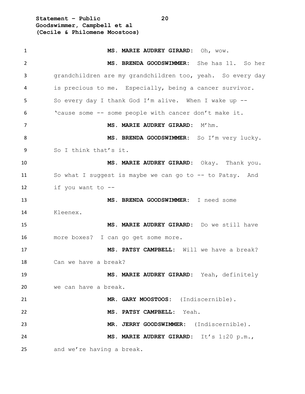**Statement – Public 20 Goodswimmer, Campbell et al (Cecile & Philomene Moostoos)**

| $\mathbf{1}$ | MS. MARIE AUDREY GIRARD: Oh, wow.                          |
|--------------|------------------------------------------------------------|
| 2            | MS. BRENDA GOODSWIMMER: She has 11. So her                 |
| 3            | grandchildren are my grandchildren too, yeah. So every day |
| 4            | is precious to me. Especially, being a cancer survivor.    |
| 5            | So every day I thank God I'm alive. When I wake up --      |
| 6            | 'cause some -- some people with cancer don't make it.      |
| 7            | MS. MARIE AUDREY GIRARD: M'hm.                             |
| 8            | MS. BRENDA GOODSWIMMER: So I'm very lucky.                 |
| 9            | So I think that's it.                                      |
| 10           | MS. MARIE AUDREY GIRARD: Okay. Thank you.                  |
| 11           | So what I suggest is maybe we can go to -- to Patsy. And   |
| 12           | if you want to --                                          |
| 13           | MS. BRENDA GOODSWIMMER: I need some                        |
| 14           | Kleenex.                                                   |
| 15           | MS. MARIE AUDREY GIRARD: Do we still have                  |
| 16           | more boxes? I can go get some more.                        |
| 17           | MS. PATSY CAMPBELL: Will we have a break?                  |
| 18           | Can we have a break?                                       |
| 19           | MS. MARIE AUDREY GIRARD: Yeah, definitely                  |
| 20           | we can have a break.                                       |
| 21           | MR. GARY MOOSTOOS: (Indiscernible).                        |
| 22           | MS. PATSY CAMPBELL: Yeah.                                  |
| 23           | MR. JERRY GOODSWIMMER: (Indiscernible).                    |
| 24           | MS. MARIE AUDREY GIRARD: It's 1:20 p.m.,                   |
| 25           | and we're having a break.                                  |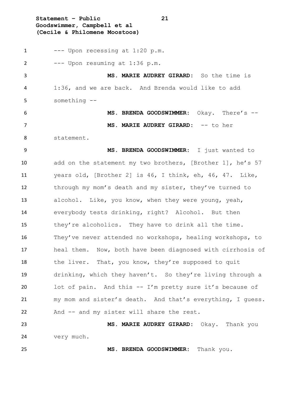**Statement – Public 21 Goodswimmer, Campbell et al (Cecile & Philomene Moostoos)**

 $1 \qquad \qquad \text{---}$  Upon recessing at  $1:20 \text{ p.m.}$  --- Upon resuming at 1:36 p.m. **MS. MARIE AUDREY GIRARD:** So the time is 1:36, and we are back. And Brenda would like to add something -- **MS. BRENDA GOODSWIMMER:** Okay. There's -- **MS. MARIE AUDREY GIRARD:** -- to her statement. **MS. BRENDA GOODSWIMMER:** I just wanted to 10 add on the statement my two brothers, [Brother 1], he's 57 years old, [Brother 2] is 46, I think, eh, 46, 47. Like, through my mom's death and my sister, they've turned to alcohol. Like, you know, when they were young, yeah, everybody tests drinking, right? Alcohol. But then 15 they're alcoholics. They have to drink all the time. They've never attended no workshops, healing workshops, to heal them. Now, both have been diagnosed with cirrhosis of 18 the liver. That, you know, they're supposed to quit drinking, which they haven't. So they're living through a lot of pain. And this -- I'm pretty sure it's because of my mom and sister's death. And that's everything, I guess. And -- and my sister will share the rest. **MS. MARIE AUDREY GIRARD:** Okay. Thank you very much.

**MS. BRENDA GOODSWIMMER:** Thank you.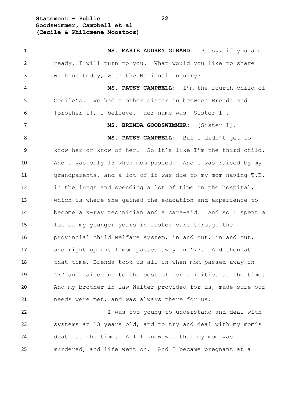**Statement – Public 22 Goodswimmer, Campbell et al (Cecile & Philomene Moostoos)**

 **MS. MARIE AUDREY GIRARD:** Patsy, if you are ready, I will turn to you. What would you like to share with us today, with the National Inquiry? **MS. PATSY CAMPBELL:** I'm the fourth child of Cecile's. We had a other sister in between Brenda and [Brother 1], I believe. Her name was [Sister 1]. **MS. BRENDA GOODSWIMMER:** [Sister 1]. **MS. PATSY CAMPBELL:** But I didn't get to know her or know of her. So it's like I'm the third child. And I was only 13 when mom passed. And I was raised by my grandparents, and a lot of it was due to my mom having T.B. in the lungs and spending a lot of time in the hospital, which is where she gained the education and experience to become a x-ray technician and a care-aid. And so I spent a lot of my younger years in foster care through the provincial child welfare system, in and out, in and out, and right up until mom passed away in '77. And then at that time, Brenda took us all in when mom passed away in '77 and raised us to the best of her abilities at the time. And my brother-in-law Walter provided for us, made sure our needs were met, and was always there for us. I was too young to understand and deal with systems at 13 years old, and to try and deal with my mom's

murdered, and life went on. And I became pregnant at a

death at the time. All I knew was that my mom was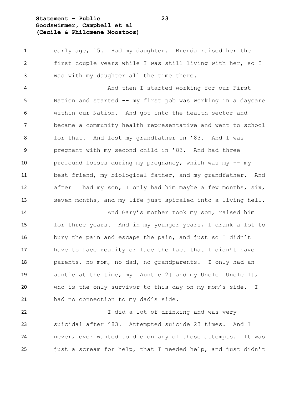### **Statement – Public 23 Goodswimmer, Campbell et al (Cecile & Philomene Moostoos)**

 early age, 15. Had my daughter. Brenda raised her the first couple years while I was still living with her, so I was with my daughter all the time there.

 And then I started working for our First Nation and started -- my first job was working in a daycare within our Nation. And got into the health sector and became a community health representative and went to school for that. And lost my grandfather in '83. And I was pregnant with my second child in '83. And had three profound losses during my pregnancy, which was my -- my best friend, my biological father, and my grandfather. And 12 after I had my son, I only had him maybe a few months, six, seven months, and my life just spiraled into a living hell.

14 And Gary's mother took my son, raised him for three years. And in my younger years, I drank a lot to bury the pain and escape the pain, and just so I didn't have to face reality or face the fact that I didn't have parents, no mom, no dad, no grandparents. I only had an auntie at the time, my [Auntie 2] and my Uncle [Uncle 1], who is the only survivor to this day on my mom's side. I had no connection to my dad's side.

22 1 J did a lot of drinking and was very suicidal after '83. Attempted suicide 23 times. And I never, ever wanted to die on any of those attempts. It was just a scream for help, that I needed help, and just didn't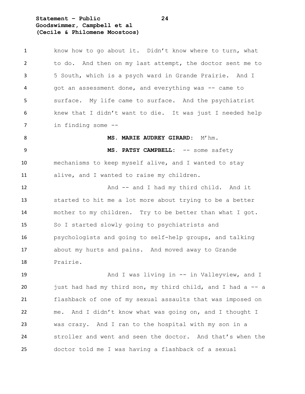**Statement – Public 24 Goodswimmer, Campbell et al (Cecile & Philomene Moostoos)**

 know how to go about it. Didn't know where to turn, what to do. And then on my last attempt, the doctor sent me to 5 South, which is a psych ward in Grande Prairie. And I 4 got an assessment done, and everything was -- came to surface. My life came to surface. And the psychiatrist knew that I didn't want to die. It was just I needed help in finding some -- 8 MS. MARIE AUDREY GIRARD: M'hm. **MS. PATSY CAMPBELL:** -- some safety mechanisms to keep myself alive, and I wanted to stay alive, and I wanted to raise my children. 12 And -- and I had my third child. And it started to hit me a lot more about trying to be a better mother to my children. Try to be better than what I got. So I started slowly going to psychiatrists and psychologists and going to self-help groups, and talking about my hurts and pains. And moved away to Grande Prairie.

19 And I was living in -- in Valleyview, and I just had had my third son, my third child, and I had a -- a flashback of one of my sexual assaults that was imposed on me. And I didn't know what was going on, and I thought I was crazy. And I ran to the hospital with my son in a stroller and went and seen the doctor. And that's when the doctor told me I was having a flashback of a sexual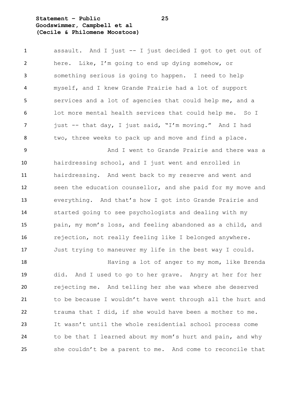#### **Statement – Public 25 Goodswimmer, Campbell et al (Cecile & Philomene Moostoos)**

 assault. And I just -- I just decided I got to get out of here. Like, I'm going to end up dying somehow, or something serious is going to happen. I need to help myself, and I knew Grande Prairie had a lot of support services and a lot of agencies that could help me, and a lot more mental health services that could help me. So I 7 just -- that day, I just said, "I'm moving." And I had two, three weeks to pack up and move and find a place.

 And I went to Grande Prairie and there was a hairdressing school, and I just went and enrolled in hairdressing. And went back to my reserve and went and seen the education counsellor, and she paid for my move and everything. And that's how I got into Grande Prairie and started going to see psychologists and dealing with my pain, my mom's loss, and feeling abandoned as a child, and rejection, not really feeling like I belonged anywhere. Just trying to maneuver my life in the best way I could.

**Having a lot of anger to my mom, like Brenda**  did. And I used to go to her grave. Angry at her for her rejecting me. And telling her she was where she deserved to be because I wouldn't have went through all the hurt and trauma that I did, if she would have been a mother to me. It wasn't until the whole residential school process come to be that I learned about my mom's hurt and pain, and why she couldn't be a parent to me. And come to reconcile that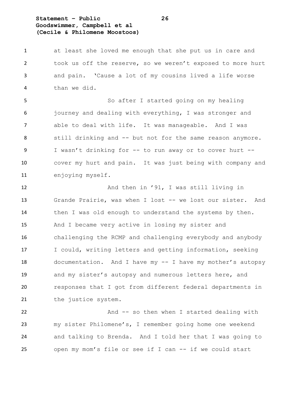#### **Statement – Public 26 Goodswimmer, Campbell et al (Cecile & Philomene Moostoos)**

 at least she loved me enough that she put us in care and took us off the reserve, so we weren't exposed to more hurt and pain. 'Cause a lot of my cousins lived a life worse than we did.

 So after I started going on my healing journey and dealing with everything, I was stronger and able to deal with life. It was manageable. And I was still drinking and -- but not for the same reason anymore. I wasn't drinking for -- to run away or to cover hurt -- cover my hurt and pain. It was just being with company and enjoying myself.

12 And then in '91, I was still living in Grande Prairie, was when I lost -- we lost our sister. And 14 then I was old enough to understand the systems by then. And I became very active in losing my sister and challenging the RCMP and challenging everybody and anybody I could, writing letters and getting information, seeking documentation. And I have my -- I have my mother's autopsy and my sister's autopsy and numerous letters here, and responses that I got from different federal departments in 21 the justice system.

22 And -- so then when I started dealing with my sister Philomene's, I remember going home one weekend and talking to Brenda. And I told her that I was going to open my mom's file or see if I can -- if we could start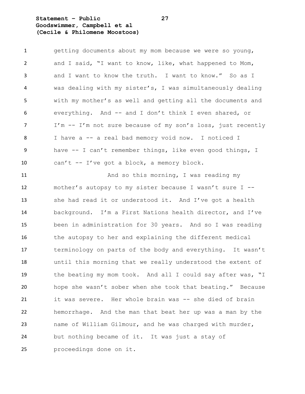#### **Statement – Public 27 Goodswimmer, Campbell et al (Cecile & Philomene Moostoos)**

| $\mathbf{1}$   | getting documents about my mom because we were so young,    |
|----------------|-------------------------------------------------------------|
| 2              | and I said, "I want to know, like, what happened to Mom,    |
| $\overline{3}$ | and I want to know the truth. I want to know." So as I      |
| $\overline{4}$ | was dealing with my sister's, I was simultaneously dealing  |
| 5              | with my mother's as well and getting all the documents and  |
| 6              | everything. And -- and I don't think I even shared, or      |
| $\overline{7}$ | I'm -- I'm not sure because of my son's loss, just recently |
| 8              | I have a -- a real bad memory void now. I noticed I         |
| -9             | have -- I can't remember things, like even good things, I   |
| 10             | can't -- I've got a block, a memory block.                  |

11 And so this morning, I was reading my mother's autopsy to my sister because I wasn't sure I -- she had read it or understood it. And I've got a health background. I'm a First Nations health director, and I've been in administration for 30 years. And so I was reading 16 the autopsy to her and explaining the different medical terminology on parts of the body and everything. It wasn't until this morning that we really understood the extent of 19 the beating my mom took. And all I could say after was, "I hope she wasn't sober when she took that beating." Because it was severe. Her whole brain was -- she died of brain hemorrhage. And the man that beat her up was a man by the name of William Gilmour, and he was charged with murder, but nothing became of it. It was just a stay of proceedings done on it.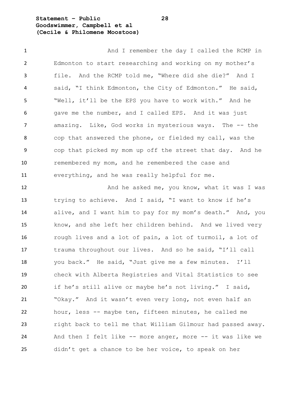#### **Statement – Public 28 Goodswimmer, Campbell et al (Cecile & Philomene Moostoos)**

1 And I remember the day I called the RCMP in Edmonton to start researching and working on my mother's file. And the RCMP told me, "Where did she die?" And I said, "I think Edmonton, the City of Edmonton." He said, "Well, it'll be the EPS you have to work with." And he gave me the number, and I called EPS. And it was just amazing. Like, God works in mysterious ways. The -- the cop that answered the phone, or fielded my call, was the cop that picked my mom up off the street that day. And he remembered my mom, and he remembered the case and everything, and he was really helpful for me.

12 And he asked me, you know, what it was I was trying to achieve. And I said, "I want to know if he's alive, and I want him to pay for my mom's death." And, you know, and she left her children behind. And we lived very rough lives and a lot of pain, a lot of turmoil, a lot of trauma throughout our lives. And so he said, "I'll call you back." He said, "Just give me a few minutes. I'll check with Alberta Registries and Vital Statistics to see if he's still alive or maybe he's not living." I said, "Okay." And it wasn't even very long, not even half an hour, less -- maybe ten, fifteen minutes, he called me right back to tell me that William Gilmour had passed away. And then I felt like -- more anger, more -- it was like we didn't get a chance to be her voice, to speak on her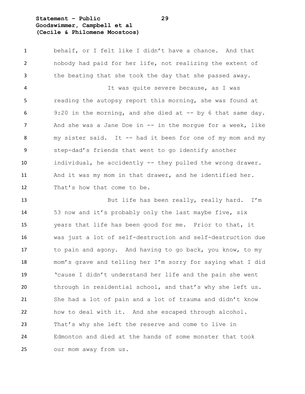#### **Statement – Public 29 Goodswimmer, Campbell et al (Cecile & Philomene Moostoos)**

 behalf, or I felt like I didn't have a chance. And that nobody had paid for her life, not realizing the extent of the beating that she took the day that she passed away.

 It was quite severe because, as I was reading the autopsy report this morning, she was found at 6 9:20 in the morning, and she died at -- by 6 that same day. 7 And she was a Jane Doe in -- in the morgue for a week, like my sister said. It -- had it been for one of my mom and my step-dad's friends that went to go identify another individual, he accidently -- they pulled the wrong drawer. And it was my mom in that drawer, and he identified her. 12 That's how that come to be.

 But life has been really, really hard. I'm 53 now and it's probably only the last maybe five, six years that life has been good for me. Prior to that, it was just a lot of self-destruction and self-destruction due to pain and agony. And having to go back, you know, to my mom's grave and telling her I'm sorry for saying what I did 'cause I didn't understand her life and the pain she went through in residential school, and that's why she left us. She had a lot of pain and a lot of trauma and didn't know how to deal with it. And she escaped through alcohol. That's why she left the reserve and come to live in Edmonton and died at the hands of some monster that took our mom away from us.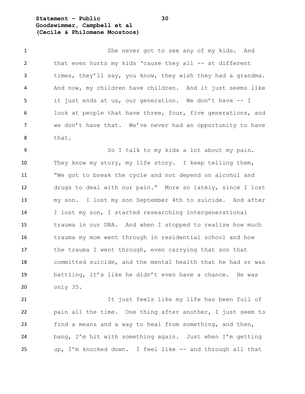**Statement – Public 30 Goodswimmer, Campbell et al (Cecile & Philomene Moostoos)**

 She never got to see any of my kids. And 2 that even hurts my kids 'cause they all -- at different 3 times, they'll say, you know, they wish they had a grandma. And now, my children have children. And it just seems like it just ends at us, our generation. We don't have -- I look at people that have three, four, five generations, and we don't have that. We've never had an opportunity to have that.

 So I talk to my kids a lot about my pain. They know my story, my life story. I keep telling them, "We got to break the cycle and not depend on alcohol and drugs to deal with our pain." More so lately, since I lost my son. I lost my son September 4th to suicide. And after I lost my son, I started researching intergenerational trauma in our DNA. And when I stopped to realize how much trauma my mom went through in residential school and how 17 the trauma I went through, even carrying that son that committed suicide, and the mental health that he had or was battling, it's like he didn't even have a chance. He was only 35.

 It just feels like my life has been full of pain all the time. One thing after another, I just seem to find a means and a way to heal from something, and then, bang, I'm hit with something again. Just when I'm getting up, I'm knocked down. I feel like -- and through all that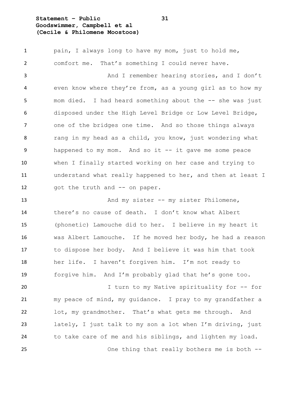#### **Statement – Public 31 Goodswimmer, Campbell et al (Cecile & Philomene Moostoos)**

 pain, I always long to have my mom, just to hold me, comfort me. That's something I could never have. And I remember hearing stories, and I don't even know where they're from, as a young girl as to how my mom died. I had heard something about the -- she was just disposed under the High Level Bridge or Low Level Bridge, one of the bridges one time. And so those things always rang in my head as a child, you know, just wondering what happened to my mom. And so it -- it gave me some peace when I finally started working on her case and trying to understand what really happened to her, and then at least I 12 got the truth and -- on paper.

13 And my sister -- my sister Philomene, there's no cause of death. I don't know what Albert (phonetic) Lamouche did to her. I believe in my heart it was Albert Lamouche. If he moved her body, he had a reason to dispose her body. And I believe it was him that took her life. I haven't forgiven him. I'm not ready to forgive him. And I'm probably glad that he's gone too.

 I turn to my Native spirituality for -- for my peace of mind, my guidance. I pray to my grandfather a lot, my grandmother. That's what gets me through. And lately, I just talk to my son a lot when I'm driving, just to take care of me and his siblings, and lighten my load. One thing that really bothers me is both --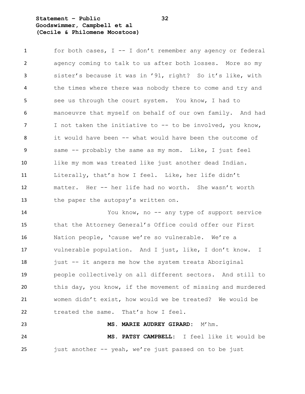#### **Statement – Public 32 Goodswimmer, Campbell et al (Cecile & Philomene Moostoos)**

 for both cases, I -- I don't remember any agency or federal agency coming to talk to us after both losses. More so my sister's because it was in '91, right? So it's like, with the times where there was nobody there to come and try and see us through the court system. You know, I had to manoeuvre that myself on behalf of our own family. And had 7 I not taken the initiative to -- to be involved, you know, it would have been -- what would have been the outcome of same -- probably the same as my mom. Like, I just feel like my mom was treated like just another dead Indian. Literally, that's how I feel. Like, her life didn't matter. Her -- her life had no worth. She wasn't worth 13 the paper the autopsy's written on.

 You know, no -- any type of support service that the Attorney General's Office could offer our First Nation people, 'cause we're so vulnerable. We're a vulnerable population. And I just, like, I don't know. I 18 just -- it angers me how the system treats Aboriginal people collectively on all different sectors. And still to this day, you know, if the movement of missing and murdered women didn't exist, how would we be treated? We would be treated the same. That's how I feel.

 **MS. PATSY CAMPBELL:** I feel like it would be just another -- yeah, we're just passed on to be just

**MS. MARIE AUDREY GIRARD:** M'hm.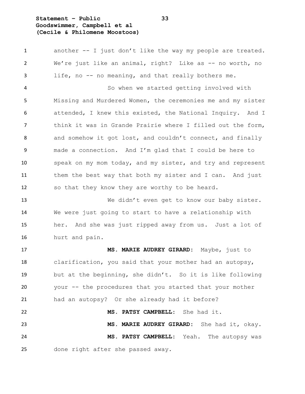#### **Statement – Public 33 Goodswimmer, Campbell et al (Cecile & Philomene Moostoos)**

 another -- I just don't like the way my people are treated. 2 We're just like an animal, right? Like as -- no worth, no life, no -- no meaning, and that really bothers me. So when we started getting involved with Missing and Murdered Women, the ceremonies me and my sister attended, I knew this existed, the National Inquiry. And I think it was in Grande Prairie where I filled out the form, 8 and somehow it got lost, and couldn't connect, and finally made a connection. And I'm glad that I could be here to speak on my mom today, and my sister, and try and represent 11 them the best way that both my sister and I can. And just so that they know they are worthy to be heard.

 We didn't even get to know our baby sister. We were just going to start to have a relationship with her. And she was just ripped away from us. Just a lot of hurt and pain.

 **MS. MARIE AUDREY GIRARD:** Maybe, just to clarification, you said that your mother had an autopsy, but at the beginning, she didn't. So it is like following your -- the procedures that you started that your mother had an autopsy? Or she already had it before? **MS. PATSY CAMPBELL:** She had it.

 **MS. MARIE AUDREY GIRARD:** She had it, okay. **MS. PATSY CAMPBELL:** Yeah. The autopsy was done right after she passed away.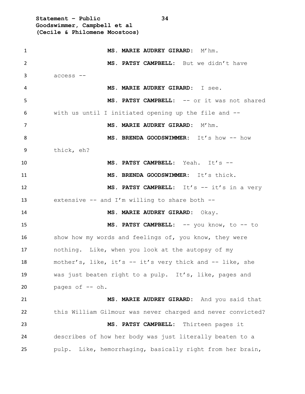**Statement – Public 34 Goodswimmer, Campbell et al (Cecile & Philomene Moostoos)**

| 1  | MS. MARIE AUDREY GIRARD: M'hm.                              |
|----|-------------------------------------------------------------|
| 2  | MS. PATSY CAMPBELL: But we didn't have                      |
| 3  | access --                                                   |
| 4  | MS. MARIE AUDREY GIRARD: I see.                             |
| 5  | MS. PATSY CAMPBELL: -- or it was not shared                 |
| 6  | with us until I initiated opening up the file and --        |
| 7  | MS. MARIE AUDREY GIRARD: M'hm.                              |
| 8  | MS. BRENDA GOODSWIMMER: It's how -- how                     |
| 9  | thick, eh?                                                  |
| 10 | MS. PATSY CAMPBELL: Yeah. It's --                           |
| 11 | MS. BRENDA GOODSWIMMER: It's thick.                         |
| 12 | MS. PATSY CAMPBELL: It's -- it's in a very                  |
| 13 | extensive $--$ and I'm willing to share both $--$           |
| 14 | MS. MARIE AUDREY GIRARD: Okay.                              |
| 15 | MS. PATSY CAMPBELL: -- you know, to -- to                   |
| 16 | show how my words and feelings of, you know, they were      |
| 17 | nothing. Like, when you look at the autopsy of my           |
| 18 | mother's, like, it's -- it's very thick and -- like, she    |
| 19 | was just beaten right to a pulp. It's, like, pages and      |
| 20 | pages of -- oh.                                             |
| 21 | MS. MARIE AUDREY GIRARD: And you said that                  |
| 22 | this William Gilmour was never charged and never convicted? |
| 23 | MS. PATSY CAMPBELL:<br>Thirteen pages it                    |
| 24 | describes of how her body was just literally beaten to a    |
| 25 | pulp. Like, hemorrhaging, basically right from her brain,   |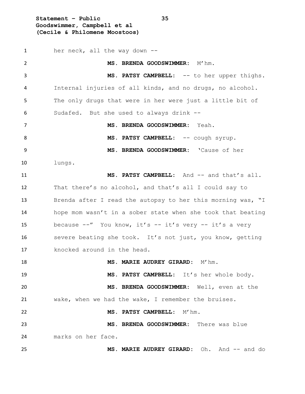**Statement – Public 35 Goodswimmer, Campbell et al (Cecile & Philomene Moostoos)**

 her neck, all the way down -- **MS. BRENDA GOODSWIMMER:** M'hm. **MS. PATSY CAMPBELL:** -- to her upper thighs. Internal injuries of all kinds, and no drugs, no alcohol. The only drugs that were in her were just a little bit of Sudafed. But she used to always drink -- **MS. BRENDA GOODSWIMMER:** Yeah. 8 MS. PATSY CAMPBELL:  $--$  cough syrup. **MS. BRENDA GOODSWIMMER:** 'Cause of her lungs. **MS. PATSY CAMPBELL:** And -- and that's all. That there's no alcohol, and that's all I could say to Brenda after I read the autopsy to her this morning was, "I hope mom wasn't in a sober state when she took that beating because --" You know, it's -- it's very -- it's a very severe beating she took. It's not just, you know, getting knocked around in the head. **MS. MARIE AUDREY GIRARD:** M'hm. **MS. PATSY CAMPBELL:** It's her whole body. **MS. BRENDA GOODSWIMMER:** Well, even at the wake, when we had the wake, I remember the bruises. **MS. PATSY CAMPBELL:** M'hm. **MS. BRENDA GOODSWIMMER:** There was blue marks on her face. **MS. MARIE AUDREY GIRARD:** Oh. And -- and do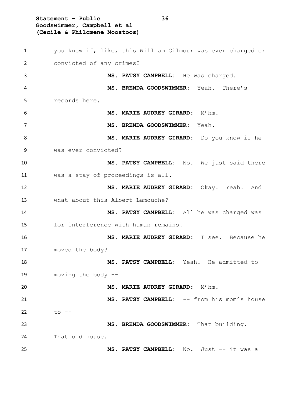**Statement – Public 36 Goodswimmer, Campbell et al (Cecile & Philomene Moostoos)** you know if, like, this William Gilmour was ever charged or convicted of any crimes? **MS. PATSY CAMPBELL:** He was charged. **MS. BRENDA GOODSWIMMER:** Yeah. There's records here. **MS. MARIE AUDREY GIRARD:** M'hm. **MS. BRENDA GOODSWIMMER:** Yeah. **MS. MARIE AUDREY GIRARD:** Do you know if he was ever convicted? **MS. PATSY CAMPBELL:** No. We just said there was a stay of proceedings is all. **MS. MARIE AUDREY GIRARD:** Okay. Yeah. And what about this Albert Lamouche? **MS. PATSY CAMPBELL:** All he was charged was for interference with human remains. **MS. MARIE AUDREY GIRARD:** I see. Because he moved the body? **MS. PATSY CAMPBELL:** Yeah. He admitted to moving the body -- **MS. MARIE AUDREY GIRARD:** M'hm. **MS. PATSY CAMPBELL:** -- from his mom's house to -- **MS. BRENDA GOODSWIMMER:** That building. That old house. **MS. PATSY CAMPBELL:** No. Just -- it was a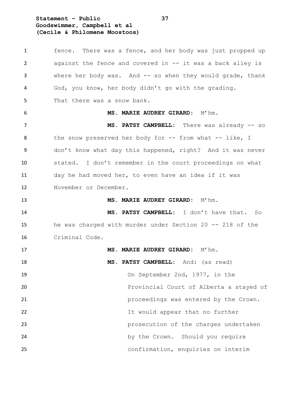**Statement – Public 37 Goodswimmer, Campbell et al (Cecile & Philomene Moostoos)**

 fence. There was a fence, and her body was just propped up against the fence and covered in -- it was a back alley is where her body was. And -- so when they would grade, thank God, you know, her body didn't go with the grading. That there was a snow bank. **MS. MARIE AUDREY GIRARD:** M'hm. 7 MS. PATSY CAMPBELL: There was already -- so 8 the snow preserved her body for -- from what -- like, I don't know what day this happened, right? And it was never stated. I don't remember in the court proceedings on what day he had moved her, to even have an idea if it was November or December. **MS. MARIE AUDREY GIRARD:** M'hm. **MS. PATSY CAMPBELL:** I don't have that. So he was charged with murder under Section 20 -- 218 of the Criminal Code. **MS. MARIE AUDREY GIRARD:** M'hm. **MS. PATSY CAMPBELL:** And: (as read) On September 2nd, 1977, in the Provincial Court of Alberta a stayed of proceedings was entered by the Crown. It would appear that no further prosecution of the charges undertaken 24 by the Crown. Should you require confirmation, enquiries on interim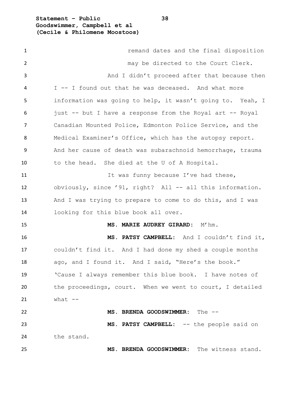**Statement – Public 38 Goodswimmer, Campbell et al (Cecile & Philomene Moostoos)**

| $\mathbf{1}$ | remand dates and the final disposition                     |
|--------------|------------------------------------------------------------|
| 2            | may be directed to the Court Clerk.                        |
| 3            | And I didn't proceed after that because then               |
| 4            | I -- I found out that he was deceased. And what more       |
| 5            | information was going to help, it wasn't going to. Yeah, I |
| 6            | just -- but I have a response from the Royal art -- Royal  |
| 7            | Canadian Mounted Police, Edmonton Police Service, and the  |
| 8            | Medical Examiner's Office, which has the autopsy report.   |
| 9            | And her cause of death was subarachnoid hemorrhage, trauma |
| 10           | to the head. She died at the U of A Hospital.              |
| 11           | It was funny because I've had these,                       |
| 12           | obviously, since '91, right? All -- all this information.  |
| 13           | And I was trying to prepare to come to do this, and I was  |
| 14           | looking for this blue book all over.                       |
| 15           | MS. MARIE AUDREY GIRARD: M'hm.                             |
| 16           | MS. PATSY CAMPBELL: And I couldn't find it,                |
| 17           | couldn't find it. And I had done my shed a couple months   |
| 18           | ago, and I found it. And I said, "Here's the book."        |
| 19           | 'Cause I always remember this blue book. I have notes of   |
| 20           | the proceedings, court. When we went to court, I detailed  |
| 21           | what $--$                                                  |
| 22           | MS. BRENDA GOODSWIMMER: The --                             |
| 23           | MS. PATSY CAMPBELL: -- the people said on                  |
| 24           | the stand.                                                 |
| 25           | MS. BRENDA GOODSWIMMER: The witness stand.                 |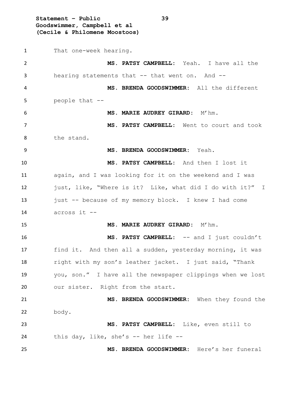**Statement – Public 39 Goodswimmer, Campbell et al (Cecile & Philomene Moostoos)** That one-week hearing. **MS. PATSY CAMPBELL:** Yeah. I have all the 3 hearing statements that -- that went on. And -- **MS. BRENDA GOODSWIMMER:** All the different people that -- **MS. MARIE AUDREY GIRARD:** M'hm. **MS. PATSY CAMPBELL:** Went to court and took the stand. **MS. BRENDA GOODSWIMMER:** Yeah. **MS. PATSY CAMPBELL:** And then I lost it again, and I was looking for it on the weekend and I was just, like, "Where is it? Like, what did I do with it?" I 13 just -- because of my memory block. I knew I had come across it -- **MS. MARIE AUDREY GIRARD:** M'hm. **MS. PATSY CAMPBELL:** -- and I just couldn't find it. And then all a sudden, yesterday morning, it was right with my son's leather jacket. I just said, "Thank you, son." I have all the newspaper clippings when we lost 20 our sister. Right from the start. **MS. BRENDA GOODSWIMMER:** When they found the body. **MS. PATSY CAMPBELL:** Like, even still to this day, like, she's -- her life -- **MS. BRENDA GOODSWIMMER:** Here's her funeral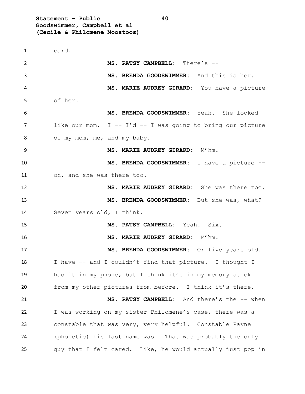**Statement – Public 40 Goodswimmer, Campbell et al (Cecile & Philomene Moostoos)**

 card. **MS. PATSY CAMPBELL:** There's -- **MS. BRENDA GOODSWIMMER:** And this is her. **MS. MARIE AUDREY GIRARD:** You have a picture of her. **MS. BRENDA GOODSWIMMER:** Yeah. She looked 7 like our mom. I -- I'd -- I was going to bring our picture 8 of my mom, me, and my baby. **MS. MARIE AUDREY GIRARD:** M'hm. **MS. BRENDA GOODSWIMMER:** I have a picture -- oh, and she was there too. **MS. MARIE AUDREY GIRARD:** She was there too. **MS. BRENDA GOODSWIMMER:** But she was, what? Seven years old, I think. **MS. PATSY CAMPBELL:** Yeah. Six. **MS. MARIE AUDREY GIRARD:** M'hm. **MS. BRENDA GOODSWIMMER:** Or five years old. I have -- and I couldn't find that picture. I thought I had it in my phone, but I think it's in my memory stick from my other pictures from before. I think it's there. **MS. PATSY CAMPBELL:** And there's the -- when I was working on my sister Philomene's case, there was a constable that was very, very helpful. Constable Payne (phonetic) his last name was. That was probably the only guy that I felt cared. Like, he would actually just pop in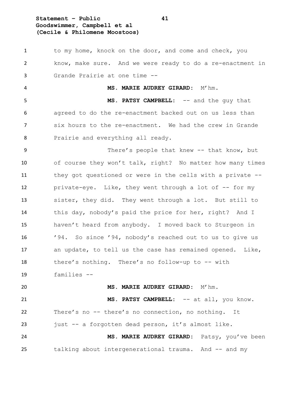## **Statement – Public 41 Goodswimmer, Campbell et al (Cecile & Philomene Moostoos)**

1 to my home, knock on the door, and come and check, you know, make sure. And we were ready to do a re-enactment in Grande Prairie at one time -- **MS. MARIE AUDREY GIRARD:** M'hm. **MS. PATSY CAMPBELL:** -- and the guy that agreed to do the re-enactment backed out on us less than six hours to the re-enactment. We had the crew in Grande 8 Prairie and everything all ready. There's people that knew -- that know, but of course they won't talk, right? No matter how many times they got questioned or were in the cells with a private -- 12 private-eye. Like, they went through a lot of -- for my sister, they did. They went through a lot. But still to this day, nobody's paid the price for her, right? And I haven't heard from anybody. I moved back to Sturgeon in '94. So since '94, nobody's reached out to us to give us an update, to tell us the case has remained opened. Like, there's nothing. There's no follow-up to -- with families -- **MS. MARIE AUDREY GIRARD:** M'hm. **MS. PATSY CAMPBELL:** -- at all, you know. There's no -- there's no connection, no nothing. It just -- a forgotten dead person, it's almost like. **MS. MARIE AUDREY GIRARD:** Patsy, you've been 25 talking about intergenerational trauma. And -- and my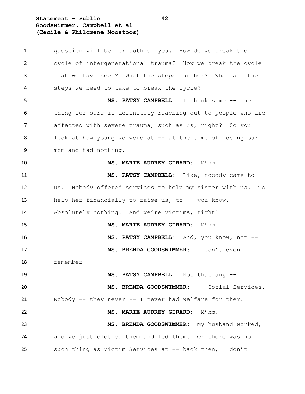**Statement – Public 42 Goodswimmer, Campbell et al (Cecile & Philomene Moostoos)**

 question will be for both of you. How do we break the cycle of intergenerational trauma? How we break the cycle that we have seen? What the steps further? What are the steps we need to take to break the cycle? **MS. PATSY CAMPBELL:** I think some -- one thing for sure is definitely reaching out to people who are affected with severe trauma, such as us, right? So you look at how young we were at -- at the time of losing our mom and had nothing. **MS. MARIE AUDREY GIRARD:** M'hm. **MS. PATSY CAMPBELL:** Like, nobody came to us. Nobody offered services to help my sister with us. To help her financially to raise us, to -- you know. Absolutely nothing. And we're victims, right? **MS. MARIE AUDREY GIRARD:** M'hm. **MS. PATSY CAMPBELL:** And, you know, not -- **MS. BRENDA GOODSWIMMER:** I don't even remember -- **MS. PATSY CAMPBELL:** Not that any -- **MS. BRENDA GOODSWIMMER:** -- Social Services. Nobody -- they never -- I never had welfare for them. **MS. MARIE AUDREY GIRARD:** M'hm. **MS. BRENDA GOODSWIMMER:** My husband worked, and we just clothed them and fed them. Or there was no such thing as Victim Services at -- back then, I don't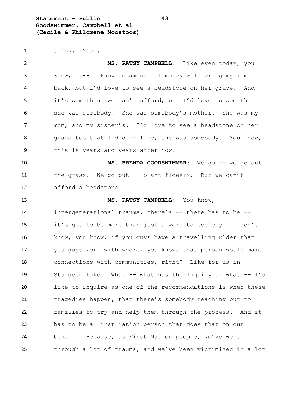**Statement – Public 43 Goodswimmer, Campbell et al (Cecile & Philomene Moostoos)**

think. Yeah.

 **MS. PATSY CAMPBELL:** Like even today, you know, I -- I know no amount of money will bring my mom back, but I'd love to see a headstone on her grave. And it's something we can't afford, but I'd love to see that she was somebody. She was somebody's mother. She was my mom, and my sister's. I'd love to see a headstone on her 8 grave too that I did -- like, she was somebody. You know, this is years and years after now. **MS. BRENDA GOODSWIMMER:** We go -- we go cut the grass. We go put -- plant flowers. But we can't afford a headstone. **MS. PATSY CAMPBELL:** You know, intergenerational trauma, there's -- there has to be -- it's got to be more than just a word to society. I don't know, you know, if you guys have a travelling Elder that you guys work with where, you know, that person would make connections with communities, right? Like for us in Sturgeon Lake. What -- what has the Inquiry or what -- I'd like to inquire as one of the recommendations is when these tragedies happen, that there's somebody reaching out to families to try and help them through the process. And it has to be a First Nation person that does that on our behalf. Because, as First Nation people, we've went through a lot of trauma, and we've been victimized in a lot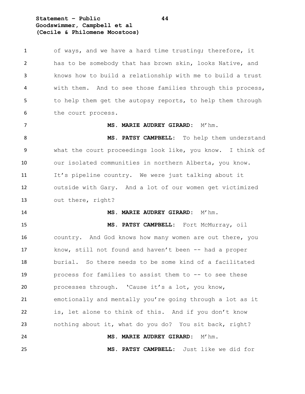## **Statement – Public 44 Goodswimmer, Campbell et al (Cecile & Philomene Moostoos)**

 of ways, and we have a hard time trusting; therefore, it has to be somebody that has brown skin, looks Native, and knows how to build a relationship with me to build a trust with them. And to see those families through this process, to help them get the autopsy reports, to help them through the court process.

#### **MS. MARIE AUDREY GIRARD:** M'hm.

 **MS. PATSY CAMPBELL:** To help them understand what the court proceedings look like, you know. I think of our isolated communities in northern Alberta, you know. It's pipeline country. We were just talking about it outside with Gary. And a lot of our women get victimized out there, right?

#### **MS. MARIE AUDREY GIRARD:** M'hm.

 **MS. PATSY CAMPBELL:** Fort McMurray, oil country. And God knows how many women are out there, you know, still not found and haven't been -- had a proper burial. So there needs to be some kind of a facilitated process for families to assist them to -- to see these 20 processes through. 'Cause it's a lot, you know, emotionally and mentally you're going through a lot as it is, let alone to think of this. And if you don't know nothing about it, what do you do? You sit back, right? **MS. MARIE AUDREY GIRARD:** M'hm.

**MS. PATSY CAMPBELL:** Just like we did for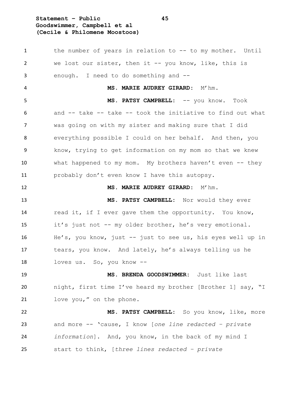## **Statement – Public 45 Goodswimmer, Campbell et al (Cecile & Philomene Moostoos)**

 the number of years in relation to -- to my mother. Until we lost our sister, then it -- you know, like, this is enough. I need to do something and -- **MS. MARIE AUDREY GIRARD:** M'hm. **MS. PATSY CAMPBELL:** -- you know. Took and -- take -- take -- took the initiative to find out what was going on with my sister and making sure that I did everything possible I could on her behalf. And then, you know, trying to get information on my mom so that we knew what happened to my mom. My brothers haven't even -- they probably don't even know I have this autopsy. **MS. MARIE AUDREY GIRARD:** M'hm. **MS. PATSY CAMPBELL:** Nor would they ever read it, if I ever gave them the opportunity. You know, it's just not -- my older brother, he's very emotional. He's, you know, just -- just to see us, his eyes well up in tears, you know. And lately, he's always telling us he loves us. So, you know -- **MS. BRENDA GOODSWIMMER:** Just like last night, first time I've heard my brother [Brother 1] say, "I love you," on the phone. **MS. PATSY CAMPBELL:** So you know, like, more and more -- 'cause, I know [*one line redacted – private information*]. And, you know, in the back of my mind I start to think, [*three lines redacted – private*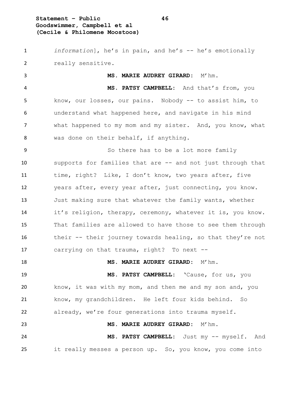## **Statement – Public 46 Goodswimmer, Campbell et al (Cecile & Philomene Moostoos)**

 *information*], he's in pain, and he's -- he's emotionally really sensitive. **MS. MARIE AUDREY GIRARD:** M'hm. **MS. PATSY CAMPBELL:** And that's from, you know, our losses, our pains. Nobody -- to assist him, to understand what happened here, and navigate in his mind what happened to my mom and my sister. And, you know, what was done on their behalf, if anything. So there has to be a lot more family

 supports for families that are -- and not just through that 11 time, right? Like, I don't know, two years after, five years after, every year after, just connecting, you know. Just making sure that whatever the family wants, whether it's religion, therapy, ceremony, whatever it is, you know. That families are allowed to have those to see them through 16 their -- their journey towards healing, so that they're not carrying on that trauma, right? To next --

**MS. MARIE AUDREY GIRARD:** M'hm. **MS. PATSY CAMPBELL:** 'Cause, for us, you know, it was with my mom, and then me and my son and, you know, my grandchildren. He left four kids behind. So 22 already, we're four generations into trauma myself. **MS. MARIE AUDREY GIRARD:** M'hm. **MS. PATSY CAMPBELL:** Just my -- myself. And it really messes a person up. So, you know, you come into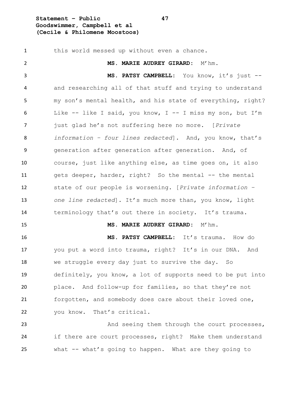**Statement – Public 47 Goodswimmer, Campbell et al (Cecile & Philomene Moostoos)**

 this world messed up without even a chance. **MS. MARIE AUDREY GIRARD:** M'hm. **MS. PATSY CAMPBELL:** You know, it's just -- and researching all of that stuff and trying to understand my son's mental health, and his state of everything, right? Like -- like I said, you know, I -- I miss my son, but I'm just glad he's not suffering here no more. [*Private information – four lines redacted*]. And, you know, that's generation after generation after generation. And, of course, just like anything else, as time goes on, it also gets deeper, harder, right? So the mental -- the mental state of our people is worsening. [*Private information – one line redacted*]. It's much more than, you know, light 14 terminology that's out there in society. It's trauma. **MS. MARIE AUDREY GIRARD:** M'hm. **MS. PATSY CAMPBELL:** It's trauma. How do you put a word into trauma, right? It's in our DNA. And we struggle every day just to survive the day. So definitely, you know, a lot of supports need to be put into place. And follow-up for families, so that they're not forgotten, and somebody does care about their loved one, you know. That's critical. 23 And seeing them through the court processes, if there are court processes, right? Make them understand

what -- what's going to happen. What are they going to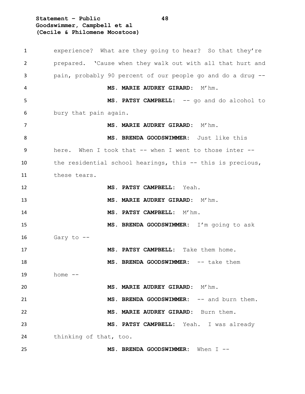**Statement – Public 48 Goodswimmer, Campbell et al (Cecile & Philomene Moostoos)**

 experience? What are they going to hear? So that they're prepared. 'Cause when they walk out with all that hurt and pain, probably 90 percent of our people go and do a drug -- **MS. MARIE AUDREY GIRARD:** M'hm. **MS. PATSY CAMPBELL:** -- go and do alcohol to bury that pain again. **MS. MARIE AUDREY GIRARD:** M'hm. **MS. BRENDA GOODSWIMMER:** Just like this 9 here. When I took that -- when I went to those inter -- the residential school hearings, this -- this is precious, these tears. **MS. PATSY CAMPBELL:** Yeah. **MS. MARIE AUDREY GIRARD:** M'hm. **MS. PATSY CAMPBELL:** M'hm. **MS. BRENDA GOODSWIMMER:** I'm going to ask Gary to -- **MS. PATSY CAMPBELL:** Take them home. **MS. BRENDA GOODSWIMMER:** -- take them home -- **MS. MARIE AUDREY GIRARD:** M'hm. **MS. BRENDA GOODSWIMMER:** -- and burn them. **MS. MARIE AUDREY GIRARD:** Burn them. **MS. PATSY CAMPBELL:** Yeah. I was already thinking of that, too. **MS. BRENDA GOODSWIMMER:** When I --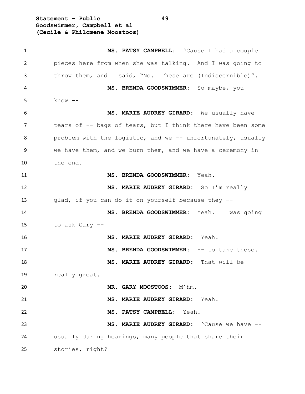**Statement – Public 49 Goodswimmer, Campbell et al (Cecile & Philomene Moostoos)**

| 1  | MS. PATSY CAMPBELL: 'Cause I had a couple                   |
|----|-------------------------------------------------------------|
| 2  | pieces here from when she was talking. And I was going to   |
| 3  | throw them, and I said, "No. These are (Indiscernible)".    |
| 4  | MS. BRENDA GOODSWIMMER: So maybe, you                       |
| 5  | $know --$                                                   |
| 6  | MS. MARIE AUDREY GIRARD: We usually have                    |
| 7  | tears of -- bags of tears, but I think there have been some |
| 8  | problem with the logistic, and we -- unfortunately, usually |
| 9  | we have them, and we burn them, and we have a ceremony in   |
| 10 | the end.                                                    |
| 11 | MS. BRENDA GOODSWIMMER: Yeah.                               |
| 12 | MS. MARIE AUDREY GIRARD: So I'm really                      |
| 13 | qlad, if you can do it on yourself because they --          |
| 14 | MS. BRENDA GOODSWIMMER: Yeah. I was going                   |
| 15 | to ask Gary --                                              |
| 16 | MS. MARIE AUDREY GIRARD: Yeah.                              |
| 17 | MS. BRENDA GOODSWIMMER: -- to take these.                   |
| 18 | MS. MARIE AUDREY GIRARD: That will be                       |
| 19 | really great.                                               |
| 20 | MR. GARY MOOSTOOS: M'hm.                                    |
| 21 | MS. MARIE AUDREY GIRARD: Yeah.                              |
| 22 | MS. PATSY CAMPBELL: Yeah.                                   |
| 23 | MS. MARIE AUDREY GIRARD: 'Cause we have --                  |
| 24 | usually during hearings, many people that share their       |
| 25 | stories, right?                                             |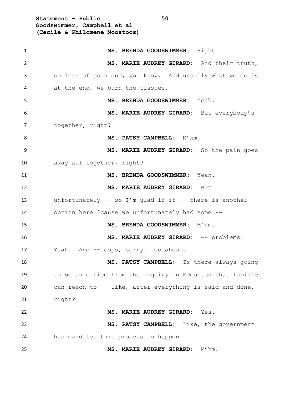**Statement – Public 50 Goodswimmer, Campbell et al (Cecile & Philomene Moostoos)**

| $\mathbf{1}$   | MS. BRENDA GOODSWIMMER: Right.                             |
|----------------|------------------------------------------------------------|
| $\overline{2}$ | MS. MARIE AUDREY GIRARD: And their truth,                  |
| 3              | so lots of pain and, you know. And usually what we do is   |
| 4              | at the end, we burn the tissues.                           |
| 5              | MS. BRENDA GOODSWIMMER: Yeah.                              |
| 6              | MS. MARIE AUDREY GIRARD: But everybody's                   |
| $\overline{7}$ | together, right?                                           |
| 8              | MS. PATSY CAMPBELL: M'hm.                                  |
| 9              | MS. MARIE AUDREY GIRARD: So the pain goes                  |
| 10             | away all together, right?                                  |
| 11             | MS. BRENDA GOODSWIMMER: Yeah.                              |
| 12             | MS. MARIE AUDREY GIRARD: But                               |
| 13             | unfortunately $--$ so I'm glad if it $--$ there is another |
| 14             | option here 'cause we unfortunately had some --            |
| 15             | MS. BRENDA GOODSWIMMER: M'hm.                              |
| 16             | MS. MARIE AUDREY GIRARD: -- problems.                      |
| 17             | Yeah. And -- oops, sorry. Go ahead.                        |
| 18             | MS. PATSY CAMPBELL: Is there always going                  |
| 19             | to be an office from the Inquiry in Edmonton that families |
| 20             | can reach to -- like, after everything is said and done,   |
| 21             | right?                                                     |
| 22             | MS. MARIE AUDREY GIRARD: Yes.                              |
| 23             | MS. PATSY CAMPBELL: Like, the government                   |
| 24             | has mandated this process to happen.                       |
| 25             | MS. MARIE AUDREY GIRARD: M'hm.                             |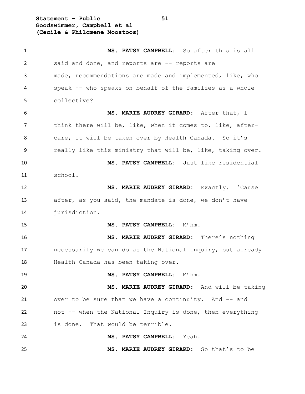**Statement – Public 51 Goodswimmer, Campbell et al (Cecile & Philomene Moostoos)**

 **MS. PATSY CAMPBELL:** So after this is all said and done, and reports are -- reports are made, recommendations are made and implemented, like, who speak -- who speaks on behalf of the families as a whole collective? **MS. MARIE AUDREY GIRARD:** After that, I think there will be, like, when it comes to, like, after- care, it will be taken over by Health Canada. So it's really like this ministry that will be, like, taking over. **MS. PATSY CAMPBELL:** Just like residential school. **MS. MARIE AUDREY GIRARD:** Exactly. 'Cause after, as you said, the mandate is done, we don't have jurisdiction. **MS. PATSY CAMPBELL:** M'hm. **MS. MARIE AUDREY GIRARD:** There's nothing necessarily we can do as the National Inquiry, but already Health Canada has been taking over. **MS. PATSY CAMPBELL:** M'hm. **MS. MARIE AUDREY GIRARD:** And will be taking 21 over to be sure that we have a continuity. And -- and not -- when the National Inquiry is done, then everything is done. That would be terrible. **MS. PATSY CAMPBELL:** Yeah. **MS. MARIE AUDREY GIRARD:** So that's to be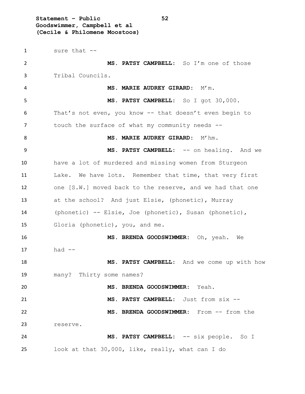**Statement – Public 52 Goodswimmer, Campbell et al (Cecile & Philomene Moostoos)**

 sure that -- **MS. PATSY CAMPBELL:** So I'm one of those Tribal Councils. **MS. MARIE AUDREY GIRARD:** M'm. **MS. PATSY CAMPBELL:** So I got 30,000. That's not even, you know -- that doesn't even begin to 7 touch the surface of what my community needs --8 MS. MARIE AUDREY GIRARD: M'hm. 9 MS. PATSY CAMPBELL: -- on healing. And we have a lot of murdered and missing women from Sturgeon Lake. We have lots. Remember that time, that very first one [S.W.] moved back to the reserve, and we had that one at the school? And just Elsie, (phonetic), Murray (phonetic) -- Elsie, Joe (phonetic), Susan (phonetic), Gloria (phonetic), you, and me. **MS. BRENDA GOODSWIMMER:** Oh, yeah. We had  $-$  **MS. PATSY CAMPBELL:** And we come up with how many? Thirty some names? **MS. BRENDA GOODSWIMMER:** Yeah. **MS. PATSY CAMPBELL:** Just from six -- **MS. BRENDA GOODSWIMMER:** From -- from the reserve. **MS. PATSY CAMPBELL:** -- six people. So I look at that 30,000, like, really, what can I do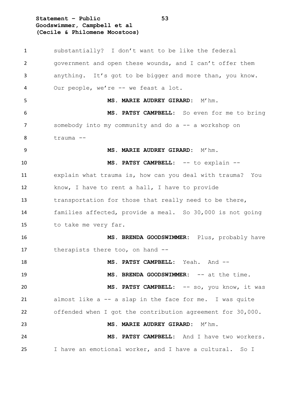**Statement – Public 53 Goodswimmer, Campbell et al (Cecile & Philomene Moostoos)**

| 1  | substantially? I don't want to be like the federal         |
|----|------------------------------------------------------------|
| 2  | government and open these wounds, and I can't offer them   |
| 3  | anything. It's got to be bigger and more than, you know.   |
| 4  | Our people, we're -- we feast a lot.                       |
| 5  | MS. MARIE AUDREY GIRARD: M'hm.                             |
| 6  | MS. PATSY CAMPBELL: So even for me to bring                |
| 7  | somebody into my community and do a -- a workshop on       |
| 8  | trauma --                                                  |
| 9  | MS. MARIE AUDREY GIRARD: M'hm.                             |
| 10 | MS. PATSY CAMPBELL: -- to explain --                       |
| 11 | explain what trauma is, how can you deal with trauma? You  |
| 12 | know, I have to rent a hall, I have to provide             |
| 13 | transportation for those that really need to be there,     |
| 14 | families affected, provide a meal. So 30,000 is not going  |
| 15 | to take me very far.                                       |
| 16 | MS. BRENDA GOODSWIMMER: Plus, probably have                |
| 17 | therapists there too, on hand --                           |
| 18 | MS. PATSY CAMPBELL: Yeah. And --                           |
| 19 | MS. BRENDA GOODSWIMMER: -- at the time.                    |
| 20 | MS. PATSY CAMPBELL: -- so, you know, it was                |
| 21 | almost like a -- a slap in the face for me. I was quite    |
| 22 | offended when I got the contribution agreement for 30,000. |
| 23 | MS. MARIE AUDREY GIRARD: M'hm.                             |
| 24 | MS. PATSY CAMPBELL: And I have two workers.                |
| 25 | I have an emotional worker, and I have a cultural. So I    |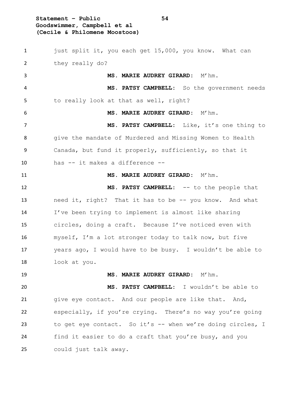**Statement – Public 54 Goodswimmer, Campbell et al (Cecile & Philomene Moostoos)**

1 just split it, you each get 15,000, you know. What can they really do? **MS. MARIE AUDREY GIRARD:** M'hm. **MS. PATSY CAMPBELL:** So the government needs to really look at that as well, right? **MS. MARIE AUDREY GIRARD:** M'hm. **MS. PATSY CAMPBELL:** Like, it's one thing to give the mandate of Murdered and Missing Women to Health Canada, but fund it properly, sufficiently, so that it has -- it makes a difference -- **MS. MARIE AUDREY GIRARD:** M'hm. **MS. PATSY CAMPBELL:** -- to the people that 13 need it, right? That it has to be -- you know. And what I've been trying to implement is almost like sharing circles, doing a craft. Because I've noticed even with myself, I'm a lot stronger today to talk now, but five years ago, I would have to be busy. I wouldn't be able to look at you. **MS. MARIE AUDREY GIRARD:** M'hm. **MS. PATSY CAMPBELL:** I wouldn't be able to give eye contact. And our people are like that. And, especially, if you're crying. There's no way you're going to get eye contact. So it's -- when we're doing circles, I find it easier to do a craft that you're busy, and you could just talk away.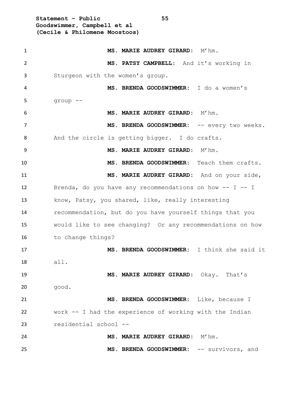**Statement – Public 55 Goodswimmer, Campbell et al (Cecile & Philomene Moostoos)** 1 MS. MARIE AUDREY GIRARD: M'hm. **MS. PATSY CAMPBELL:** And it's working in Sturgeon with the women's group. **MS. BRENDA GOODSWIMMER:** I do a women's group -- **MS. MARIE AUDREY GIRARD:** M'hm. 7 MS. BRENDA GOODSWIMMER: -- every two weeks. And the circle is getting bigger. I do crafts. **MS. MARIE AUDREY GIRARD:** M'hm. **MS. BRENDA GOODSWIMMER:** Teach them crafts. **MS. MARIE AUDREY GIRARD:** And on your side, Brenda, do you have any recommendations on how -- I -- I know, Patsy, you shared, like, really interesting recommendation, but do you have yourself things that you would like to see changing? Or any recommendations on how to change things? **MS. BRENDA GOODSWIMMER:** I think she said it all. **MS. MARIE AUDREY GIRARD:** Okay. That's good. **MS. BRENDA GOODSWIMMER:** Like, because I work -- I had the experience of working with the Indian residential school -- **MS. MARIE AUDREY GIRARD:** M'hm. **MS. BRENDA GOODSWIMMER:** -- survivors, and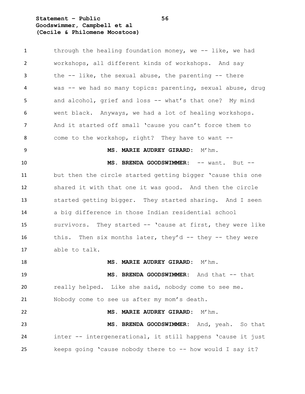**Statement – Public 56 Goodswimmer, Campbell et al (Cecile & Philomene Moostoos)**

1 through the healing foundation money, we -- like, we had workshops, all different kinds of workshops. And say the -- like, the sexual abuse, the parenting -- there was -- we had so many topics: parenting, sexual abuse, drug and alcohol, grief and loss -- what's that one? My mind went black. Anyways, we had a lot of healing workshops. And it started off small 'cause you can't force them to come to the workshop, right? They have to want -- **MS. MARIE AUDREY GIRARD:** M'hm. **MS. BRENDA GOODSWIMMER:** -- want. But -- but then the circle started getting bigger 'cause this one shared it with that one it was good. And then the circle started getting bigger. They started sharing. And I seen a big difference in those Indian residential school survivors. They started -- 'cause at first, they were like 16 this. Then six months later, they'd -- they -- they were able to talk. **MS. MARIE AUDREY GIRARD:** M'hm. **MS. BRENDA GOODSWIMMER:** And that -- that really helped. Like she said, nobody come to see me. Nobody come to see us after my mom's death. **MS. MARIE AUDREY GIRARD:** M'hm. **MS. BRENDA GOODSWIMMER:** And, yeah. So that inter -- intergenerational, it still happens 'cause it just 25 keeps going 'cause nobody there to -- how would I say it?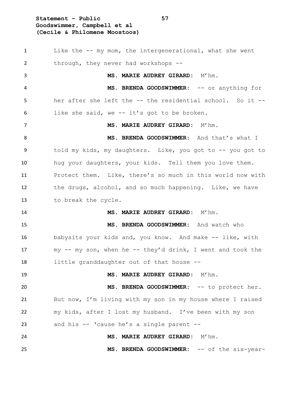# **Statement – Public 57 Goodswimmer, Campbell et al (Cecile & Philomene Moostoos)**

 Like the -- my mom, the intergenerational, what she went through, they never had workshops -- **MS. MARIE AUDREY GIRARD:** M'hm. 4 MS. BRENDA GOODSWIMMER:  $--$  or anything for her after she left the -- the residential school. So it -- like she said, we -- it's got to be broken. **MS. MARIE AUDREY GIRARD:** M'hm. 8 MS. BRENDA GOODSWIMMER: And that's what I told my kids, my daughters. Like, you got to -- you got to hug your daughters, your kids. Tell them you love them. Protect them. Like, there's so much in this world now with the drugs, alcohol, and so much happening. Like, we have to break the cycle. **MS. MARIE AUDREY GIRARD:** M'hm. **MS. BRENDA GOODSWIMMER:** And watch who babysits your kids and, you know. And make -- like, with my -- my son, when he -- they'd drink, I went and took the little granddaughter out of that house -- **MS. MARIE AUDREY GIRARD:** M'hm. **MS. BRENDA GOODSWIMMER:** -- to protect her. But now, I'm living with my son in my house where I raised my kids, after I lost my husband. I've been with my son and his -- 'cause he's a single parent -- **MS. MARIE AUDREY GIRARD:** M'hm. **MS. BRENDA GOODSWIMMER:** -- of the six-year-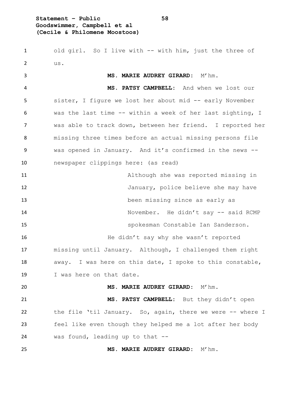## **Statement – Public 58 Goodswimmer, Campbell et al (Cecile & Philomene Moostoos)**

 old girl. So I live with -- with him, just the three of us.

 **MS. MARIE AUDREY GIRARD:** M'hm. **MS. PATSY CAMPBELL:** And when we lost our sister, I figure we lost her about mid -- early November was the last time -- within a week of her last sighting, I was able to track down, between her friend. I reported her missing three times before an actual missing persons file was opened in January. And it's confirmed in the news -- newspaper clippings here: (as read) Although she was reported missing in January, police believe she may have been missing since as early as November. He didn't say -- said RCMP spokesman Constable Ian Sanderson. He didn't say why she wasn't reported missing until January. Although, I challenged them right away. I was here on this date, I spoke to this constable, I was here on that date. **MS. MARIE AUDREY GIRARD:** M'hm. **MS. PATSY CAMPBELL:** But they didn't open 22 the file 'til January. So, again, there we were -- where I feel like even though they helped me a lot after her body was found, leading up to that -- **MS. MARIE AUDREY GIRARD:** M'hm.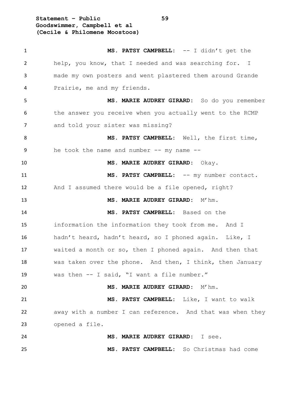**Statement – Public 59 Goodswimmer, Campbell et al (Cecile & Philomene Moostoos)**

| $\mathbf{1}$ | MS. PATSY CAMPBELL: -- I didn't get the                    |
|--------------|------------------------------------------------------------|
| 2            | help, you know, that I needed and was searching for. I     |
| 3            | made my own posters and went plastered them around Grande  |
| 4            | Prairie, me and my friends.                                |
| 5            | MS. MARIE AUDREY GIRARD: So do you remember                |
| 6            | the answer you receive when you actually went to the RCMP  |
| 7            | and told your sister was missing?                          |
| 8            | MS. PATSY CAMPBELL: Well, the first time,                  |
| 9            | he took the name and number $--$ my name $--$              |
| 10           | MS. MARIE AUDREY GIRARD: Okay.                             |
| 11           | MS. PATSY CAMPBELL: -- my number contact.                  |
| 12           | And I assumed there would be a file opened, right?         |
| 13           | MS. MARIE AUDREY GIRARD: M'hm.                             |
| 14           | MS. PATSY CAMPBELL: Based on the                           |
| 15           | information the information they took from me. And I       |
| 16           | hadn't heard, hadn't heard, so I phoned again. Like, I     |
| 17           | waited a month or so, then I phoned again. And then that   |
| 18           | was taken over the phone. And then, I think, then January  |
| 19           | was then -- I said, "I want a file number."                |
| 20           | MS. MARIE AUDREY GIRARD: M'hm.                             |
| 21           | MS. PATSY CAMPBELL: Like, I want to walk                   |
| 22           | away with a number I can reference. And that was when they |
| 23           | opened a file.                                             |
| 24           | MS. MARIE AUDREY GIRARD: I see.                            |
| 25           | MS. PATSY CAMPBELL: So Christmas had come                  |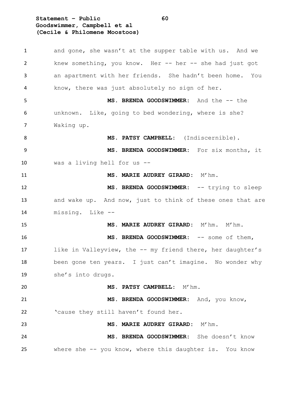**Statement – Public 60 Goodswimmer, Campbell et al (Cecile & Philomene Moostoos)**

1 and gone, she wasn't at the supper table with us. And we knew something, you know. Her -- her -- she had just got an apartment with her friends. She hadn't been home. You know, there was just absolutely no sign of her. **MS. BRENDA GOODSWIMMER:** And the -- the unknown. Like, going to bed wondering, where is she? Waking up. **MS. PATSY CAMPBELL:** (Indiscernible). **MS. BRENDA GOODSWIMMER:** For six months, it was a living hell for us -- **MS. MARIE AUDREY GIRARD:** M'hm. **MS. BRENDA GOODSWIMMER:** -- trying to sleep 13 and wake up. And now, just to think of these ones that are missing. Like -- **MS. MARIE AUDREY GIRARD:** M'hm. M'hm. **MS. BRENDA GOODSWIMMER:** -- some of them, 17 like in Valleyview, the -- my friend there, her daughter's 18 been gone ten years. I just can't imagine. No wonder why she's into drugs. **MS. PATSY CAMPBELL:** M'hm. **MS. BRENDA GOODSWIMMER:** And, you know, 'cause they still haven't found her. **MS. MARIE AUDREY GIRARD:** M'hm. **MS. BRENDA GOODSWIMMER:** She doesn't know where she -- you know, where this daughter is. You know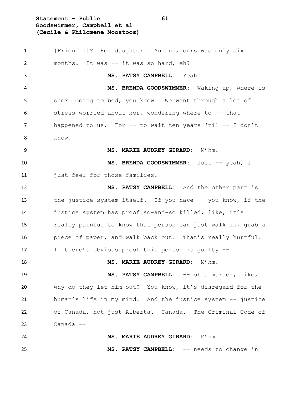**Statement – Public 61 Goodswimmer, Campbell et al (Cecile & Philomene Moostoos)**

 [Friend 1]? Her daughter. And us, ours was only six months. It was -- it was so hard, eh? **MS. PATSY CAMPBELL:** Yeah. **MS. BRENDA GOODSWIMMER:** Waking up, where is she? Going to bed, you know. We went through a lot of stress worried about her, wondering where to -- that 7 happened to us. For -- to wait ten years 'til -- I don't 8 know. **MS. MARIE AUDREY GIRARD:** M'hm. 10 MS. BRENDA GOODSWIMMER: Just -- yeah, I just feel for those families. **MS. PATSY CAMPBELL:** And the other part is the justice system itself. If you have -- you know, if the justice system has proof so-and-so killed, like, it's really painful to know that person can just walk in, grab a 16 piece of paper, and walk back out. That's really hurtful. If there's obvious proof this person is guilty -- **MS. MARIE AUDREY GIRARD:** M'hm. **MS. PATSY CAMPBELL:** -- of a murder, like, why do they let him out? You know, it's disregard for the human's life in my mind. And the justice system -- justice of Canada, not just Alberta. Canada. The Criminal Code of Canada -- **MS. MARIE AUDREY GIRARD:** M'hm. **MS. PATSY CAMPBELL:** -- needs to change in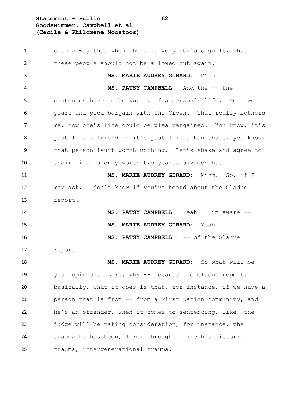## **Statement – Public 62 Goodswimmer, Campbell et al (Cecile & Philomene Moostoos)**

1 such a way that when there is very obvious guilt, that these people should not be allowed out again. **MS. MARIE AUDREY GIRARD:** M'hm. **MS. PATSY CAMPBELL:** And the -- the sentences have to be worthy of a person's life. Not two years and plea bargain with the Crown. That really bothers me, how one's life could be plea bargained. You know, it's 8 just like a friend -- it's just like a handshake, you know, that person isn't worth nothing. Let's shake and agree to their life is only worth two years, six months. **MS. MARIE AUDREY GIRARD:** M'hm. So, if I may ask, I don't know if you've heard about the Gladue report. **MS. PATSY CAMPBELL:** Yeah. I'm aware -- **MS. MARIE AUDREY GIRARD:** Yeah. **MS. PATSY CAMPBELL:** -- of the Gladue report. **MS. MARIE AUDREY GIRARD:** So what will be your opinion. Like, why -- because the Gladue report, basically, what it does is that, for instance, if we have a person that is from -- from a First Nation community, and he's an offender, when it comes to sentencing, like, the 23 judge will be taking consideration, for instance, the trauma he has been, like, through. Like his historic trauma, intergenerational trauma.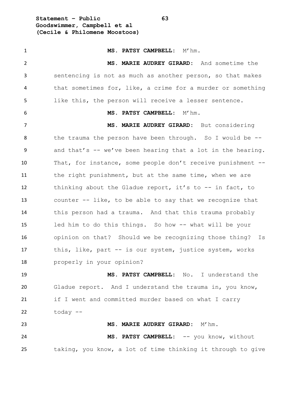**Statement – Public 63 Goodswimmer, Campbell et al (Cecile & Philomene Moostoos)**

 **MS. PATSY CAMPBELL:** M'hm. **MS. MARIE AUDREY GIRARD:** And sometime the sentencing is not as much as another person, so that makes that sometimes for, like, a crime for a murder or something like this, the person will receive a lesser sentence. **MS. PATSY CAMPBELL:** M'hm. **MS. MARIE AUDREY GIRARD:** But considering the trauma the person have been through. So I would be -- and that's -- we've been hearing that a lot in the hearing. That, for instance, some people don't receive punishment -- 11 the right punishment, but at the same time, when we are thinking about the Gladue report, it's to -- in fact, to counter -- like, to be able to say that we recognize that this person had a trauma. And that this trauma probably led him to do this things. So how -- what will be your opinion on that? Should we be recognizing those thing? Is this, like, part -- is our system, justice system, works properly in your opinion? **MS. PATSY CAMPBELL:** No. I understand the Gladue report. And I understand the trauma in, you know, if I went and committed murder based on what I carry today -- **MS. MARIE AUDREY GIRARD:** M'hm. **MS. PATSY CAMPBELL:** -- you know, without taking, you know, a lot of time thinking it through to give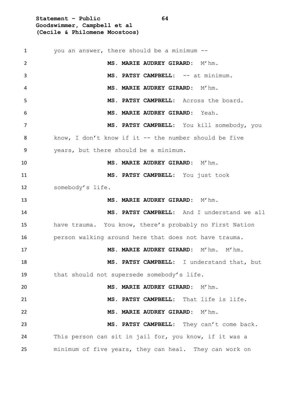**Statement – Public 64 Goodswimmer, Campbell et al (Cecile & Philomene Moostoos)**

 you an answer, there should be a minimum -- **MS. MARIE AUDREY GIRARD:** M'hm. **MS. PATSY CAMPBELL:** -- at minimum. **MS. MARIE AUDREY GIRARD:** M'hm. **MS. PATSY CAMPBELL:** Across the board. **MS. MARIE AUDREY GIRARD:** Yeah. **MS. PATSY CAMPBELL:** You kill somebody, you know, I don't know if it -- the number should be five years, but there should be a minimum. **MS. MARIE AUDREY GIRARD:** M'hm. **MS. PATSY CAMPBELL:** You just took somebody's life. **MS. MARIE AUDREY GIRARD:** M'hm. **MS. PATSY CAMPBELL:** And I understand we all have trauma. You know, there's probably no First Nation person walking around here that does not have trauma. **MS. MARIE AUDREY GIRARD:** M'hm. M'hm. **MS. PATSY CAMPBELL:** I understand that, but that should not supersede somebody's life. **MS. MARIE AUDREY GIRARD:** M'hm. **MS. PATSY CAMPBELL:** That life is life. **MS. MARIE AUDREY GIRARD:** M'hm. **MS. PATSY CAMPBELL:** They can't come back. 24 This person can sit in jail for, you know, if it was a minimum of five years, they can heal. They can work on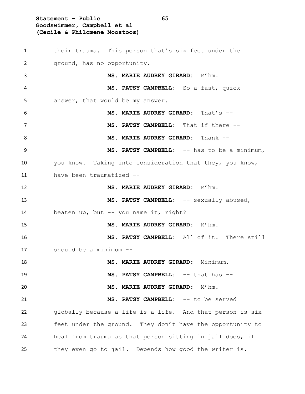**Statement – Public 65 Goodswimmer, Campbell et al (Cecile & Philomene Moostoos)**

 their trauma. This person that's six feet under the ground, has no opportunity. **MS. MARIE AUDREY GIRARD:** M'hm. **MS. PATSY CAMPBELL:** So a fast, quick answer, that would be my answer. **MS. MARIE AUDREY GIRARD:** That's -- **MS. PATSY CAMPBELL:** That if there -- **MS. MARIE AUDREY GIRARD:** Thank -- **MS. PATSY CAMPBELL:** -- has to be a minimum, you know. Taking into consideration that they, you know, have been traumatized -- **MS. MARIE AUDREY GIRARD:** M'hm. **MS. PATSY CAMPBELL:** -- sexually abused, beaten up, but -- you name it, right? **MS. MARIE AUDREY GIRARD:** M'hm. **MS. PATSY CAMPBELL:** All of it. There still should be a minimum -- **MS. MARIE AUDREY GIRARD:** Minimum. **MS. PATSY CAMPBELL:** -- that has -- **MS. MARIE AUDREY GIRARD:** M'hm. **MS. PATSY CAMPBELL:** -- to be served globally because a life is a life. And that person is six feet under the ground. They don't have the opportunity to heal from trauma as that person sitting in jail does, if they even go to jail. Depends how good the writer is.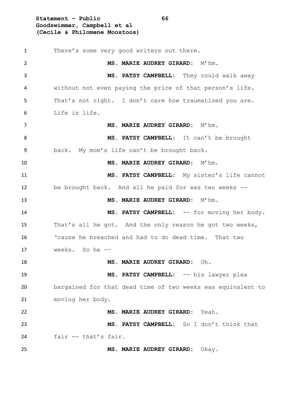**Statement – Public 66 Goodswimmer, Campbell et al (Cecile & Philomene Moostoos)**

 There's some very good writers out there. **MS. MARIE AUDREY GIRARD:** M'hm. **MS. PATSY CAMPBELL:** They could walk away without not even paying the price of that person's life. That's not right. I don't care how traumatized you are. Life is life. **MS. MARIE AUDREY GIRARD:** M'hm. **MS. PATSY CAMPBELL:** It can't be brought back. My mom's life can't be brought back. **MS. MARIE AUDREY GIRARD:** M'hm. **MS. PATSY CAMPBELL:** My sister's life cannot be brought back. And all he paid for was two weeks -- **MS. MARIE AUDREY GIRARD:** M'hm. 14 MS. PATSY CAMPBELL: -- for moving her body. That's all he got. And the only reason he got two weeks, 'cause he breached and had to do dead time. That two weeks. So he -- **MS. MARIE AUDREY GIRARD:** Oh. **MS. PATSY CAMPBELL:** -- his lawyer plea bargained for that dead time of two weeks was equivalent to moving her body. **MS. MARIE AUDREY GIRARD:** Yeah. **MS. PATSY CAMPBELL:** So I don't think that fair -- that's fair. **MS. MARIE AUDREY GIRARD:** Okay.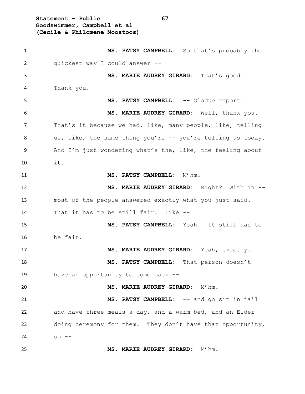**Statement – Public 67 Goodswimmer, Campbell et al (Cecile & Philomene Moostoos)**

 **MS. PATSY CAMPBELL:** So that's probably the quickest way I could answer -- **MS. MARIE AUDREY GIRARD:** That's good. Thank you. **MS. PATSY CAMPBELL:** -- Gladue report. **MS. MARIE AUDREY GIRARD:** Well, thank you. That's it because we had, like, many people, like, telling us, like, the same thing you're -- you're telling us today. And I'm just wondering what's the, like, the feeling about it. 11 MS. PATSY CAMPBELL: M'hm. **MS. MARIE AUDREY GIRARD:** Right? With in -- most of the people answered exactly what you just said. That it has to be still fair. Like -- **MS. PATSY CAMPBELL:** Yeah. It still has to be fair. **MS. MARIE AUDREY GIRARD:** Yeah, exactly. **MS. PATSY CAMPBELL:** That person doesn't have an opportunity to come back -- **MS. MARIE AUDREY GIRARD:** M'hm. **MS. PATSY CAMPBELL:** -- and go sit in jail and have three meals a day, and a warm bed, and an Elder doing ceremony for them. They don't have that opportunity, so -- **MS. MARIE AUDREY GIRARD:** M'hm.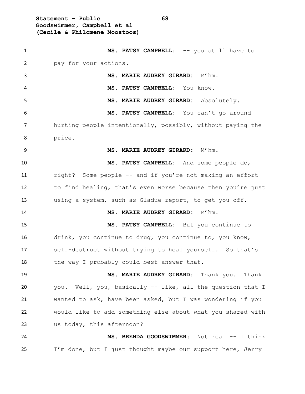**Statement – Public 68 Goodswimmer, Campbell et al (Cecile & Philomene Moostoos)**

 **MS. PATSY CAMPBELL:** -- you still have to pay for your actions. **MS. MARIE AUDREY GIRARD:** M'hm. **MS. PATSY CAMPBELL:** You know. **MS. MARIE AUDREY GIRARD:** Absolutely. **MS. PATSY CAMPBELL:** You can't go around hurting people intentionally, possibly, without paying the price. **MS. MARIE AUDREY GIRARD:** M'hm. **MS. PATSY CAMPBELL:** And some people do, right? Some people -- and if you're not making an effort to find healing, that's even worse because then you're just using a system, such as Gladue report, to get you off. **MS. MARIE AUDREY GIRARD:** M'hm. **MS. PATSY CAMPBELL:** But you continue to drink, you continue to drug, you continue to, you know, self-destruct without trying to heal yourself. So that's 18 the way I probably could best answer that. **MS. MARIE AUDREY GIRARD:** Thank you. Thank you. Well, you, basically -- like, all the question that I wanted to ask, have been asked, but I was wondering if you would like to add something else about what you shared with us today, this afternoon? **MS. BRENDA GOODSWIMMER:** Not real -- I think I'm done, but I just thought maybe our support here, Jerry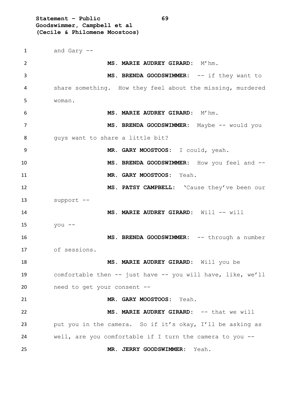**Statement – Public 69 Goodswimmer, Campbell et al (Cecile & Philomene Moostoos)**

 and Gary -- **MS. MARIE AUDREY GIRARD:** M'hm. 3 MS. BRENDA GOODSWIMMER: -- if they want to share something. How they feel about the missing, murdered woman. **MS. MARIE AUDREY GIRARD:** M'hm. 7 MS. BRENDA GOODSWIMMER: Maybe -- would you 8 guys want to share a little bit? **MR. GARY MOOSTOOS:** I could, yeah. **MS. BRENDA GOODSWIMMER:** How you feel and -- **MR. GARY MOOSTOOS:** Yeah. **MS. PATSY CAMPBELL:** 'Cause they've been our support -- **MS. MARIE AUDREY GIRARD:** Will -- will you -- **MS. BRENDA GOODSWIMMER:** -- through a number of sessions. **MS. MARIE AUDREY GIRARD:** Will you be comfortable then -- just have -- you will have, like, we'll need to get your consent -- **MR. GARY MOOSTOOS:** Yeah. **MS. MARIE AUDREY GIRARD:** -- that we will put you in the camera. So if it's okay, I'll be asking as well, are you comfortable if I turn the camera to you -- **MR. JERRY GOODSWIMMER:** Yeah.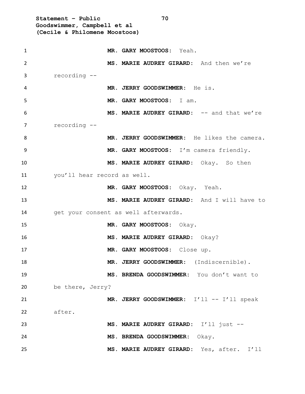**Statement – Public 70 Goodswimmer, Campbell et al (Cecile & Philomene Moostoos) MR. GARY MOOSTOOS:** Yeah. **MS. MARIE AUDREY GIRARD:** And then we're recording -- **MR. JERRY GOODSWIMMER:** He is. **MR. GARY MOOSTOOS:** I am. **MS. MARIE AUDREY GIRARD:** -- and that we're recording -- **MR. JERRY GOODSWIMMER:** He likes the camera. **MR. GARY MOOSTOOS:** I'm camera friendly. **MS. MARIE AUDREY GIRARD:** Okay. So then you'll hear record as well. **MR. GARY MOOSTOOS:** Okay. Yeah. **MS. MARIE AUDREY GIRARD:** And I will have to 14 get your consent as well afterwards. **MR. GARY MOOSTOOS:** Okay. **MS. MARIE AUDREY GIRARD:** Okay? **MR. GARY MOOSTOOS:** Close up. **MR. JERRY GOODSWIMMER:** (Indiscernible). **MS. BRENDA GOODSWIMMER:** You don't want to be there, Jerry? 21 MR. JERRY GOODSWIMMER: I'll -- I'll speak after. **MS. MARIE AUDREY GIRARD:** I'll just -- **MS. BRENDA GOODSWIMMER:** Okay. **MS. MARIE AUDREY GIRARD:** Yes, after. I'll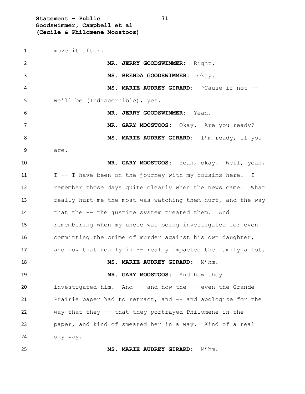**Statement – Public 71 Goodswimmer, Campbell et al (Cecile & Philomene Moostoos)**

move it after.

| $\overline{2}$ | MR. JERRY GOODSWIMMER: Right.                               |
|----------------|-------------------------------------------------------------|
| 3              | MS. BRENDA GOODSWIMMER: Okay.                               |
| 4              | MS. MARIE AUDREY GIRARD: 'Cause if not --                   |
| 5              | we'll be (Indiscernible), yes.                              |
| 6              | MR. JERRY GOODSWIMMER: Yeah.                                |
| 7              | MR. GARY MOOSTOOS: Okay. Are you ready?                     |
| 8              | MS. MARIE AUDREY GIRARD: I'm ready, if you                  |
| 9              | are.                                                        |
| 10             | MR. GARY MOOSTOOS: Yeah, okay. Well, yeah,                  |
| 11             | I -- I have been on the journey with my cousins here. I     |
| 12             | remember those days quite clearly when the news came. What  |
| 13             | really hurt me the most was watching them hurt, and the way |
| 14             | that the -- the justice system treated them. And            |
| 15             | remembering when my uncle was being investigated for even   |
| 16             | committing the crime of murder against his own daughter,    |
| 17             | and how that really in -- really impacted the family a lot. |
| 18             | MS. MARIE AUDREY GIRARD: M'hm.                              |
| 19             | MR. GARY MOOSTOOS: And how they                             |
| 20             | investigated him. And -- and how the -- even the Grande     |
| 21             | Prairie paper had to retract, and -- and apologize for the  |
| 22             | way that they -- that they portrayed Philomene in the       |
| 23             | paper, and kind of smeared her in a way. Kind of a real     |
| 24             | sly way.                                                    |
| 25             | MS. MARIE AUDREY GIRARD:<br>$M'$ hm.                        |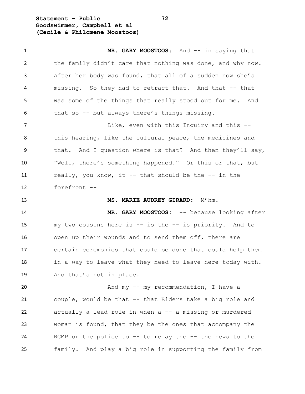**Statement – Public 72 Goodswimmer, Campbell et al (Cecile & Philomene Moostoos)**

1 MR. GARY MOOSTOOS: And -- in saying that the family didn't care that nothing was done, and why now. After her body was found, that all of a sudden now she's missing. So they had to retract that. And that -- that was some of the things that really stood out for me. And that so -- but always there's things missing. 7 Like, even with this Inquiry and this  $-$ 8 this hearing, like the cultural peace, the medicines and that. And I question where is that? And then they'll say, "Well, there's something happened." Or this or that, but really, you know, it -- that should be the -- in the forefront -- **MS. MARIE AUDREY GIRARD:** M'hm. **MR. GARY MOOSTOOS:** -- because looking after my two cousins here is -- is the -- is priority. And to open up their wounds and to send them off, there are certain ceremonies that could be done that could help them 18 in a way to leave what they need to leave here today with. And that's not in place. 20 And my -- my recommendation, I have a couple, would be that -- that Elders take a big role and actually a lead role in when a -- a missing or murdered woman is found, that they be the ones that accompany the RCMP or the police to -- to relay the -- the news to the family. And play a big role in supporting the family from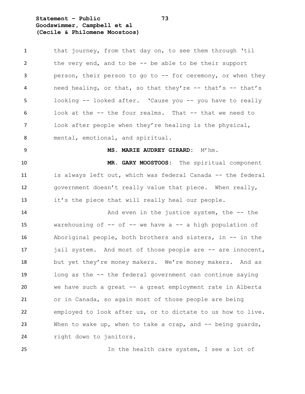**Statement – Public 73 Goodswimmer, Campbell et al (Cecile & Philomene Moostoos)**

| $\mathbf{1}$   | that journey, from that day on, to see them through 'til        |
|----------------|-----------------------------------------------------------------|
| $\overline{2}$ | the very end, and to be $-$ - be able to be their support       |
| 3              | person, their person to go to -- for ceremony, or when they     |
| 4              | need healing, or that, so that they're -- that's -- that's      |
| 5              | looking -- looked after. 'Cause you -- you have to really       |
| 6              | look at the -- the four realms. That -- that we need to         |
| 7              | look after people when they're healing is the physical,         |
| 8              | mental, emotional, and spiritual.                               |
| 9              | MS. MARIE AUDREY GIRARD: M'hm.                                  |
| 10             | MR. GARY MOOSTOOS: The spiritual component                      |
| 11             | is always left out, which was federal Canada -- the federal     |
| 12             | government doesn't really value that piece. When really,        |
| 13             | it's the piece that will really heal our people.                |
| 14             | And even in the justice system, the $-$ - the                   |
| 15             | warehousing of $--$ of $--$ we have a $--$ a high population of |
| 16             | Aboriginal people, both brothers and sisters, in $-$ in the     |
| 17             | jail system. And most of those people are -- are innocent,      |
| 18             | but yet they're money makers. We're money makers. And as        |
| 19             | long as the -- the federal government can continue saying       |
| 20             | we have such a great -- a great employment rate in Alberta      |
| 21             | or in Canada, so again most of those people are being           |
| 22             | employed to look after us, or to dictate to us how to live.     |
| 23             | When to wake up, when to take a crap, and $-$ being guards,     |
| 24             | right down to janitors.                                         |
|                |                                                                 |

In the health care system, I see a lot of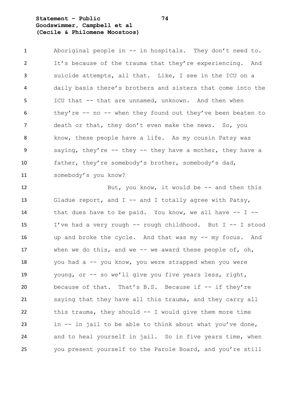# **Statement – Public 74 Goodswimmer, Campbell et al (Cecile & Philomene Moostoos)**

 Aboriginal people in -- in hospitals. They don't need to. It's because of the trauma that they're experiencing. And suicide attempts, all that. Like, I see in the ICU on a daily basis there's brothers and sisters that come into the ICU that -- that are unnamed, unknown. And then when they're -- no -- when they found out they've been beaten to 7 death or that, they don't even make the news. So, you know, these people have a life. As my cousin Patsy was saying, they're -- they -- they have a mother, they have a father, they're somebody's brother, somebody's dad, somebody's you know?

12 But, you know, it would be -- and then this 13 Gladue report, and I -- and I totally agree with Patsy, that dues have to be paid. You know, we all have -- I -- I've had a very rough -- rough childhood. But I -- I stood up and broke the cycle. And that was my -- my focus. And when we do this, and we -- we award these people of, oh, you had a -- you know, you were strapped when you were young, or -- so we'll give you five years less, right, because of that. That's B.S. Because if -- if they're saying that they have all this trauma, and they carry all this trauma, they should -- I would give them more time in -- in jail to be able to think about what you've done, 24 and to heal yourself in jail. So in five years time, when you present yourself to the Parole Board, and you're still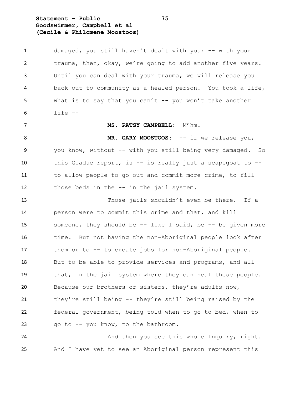**Statement – Public 75 Goodswimmer, Campbell et al (Cecile & Philomene Moostoos)**

 damaged, you still haven't dealt with your -- with your trauma, then, okay, we're going to add another five years. Until you can deal with your trauma, we will release you back out to community as a healed person. You took a life, what is to say that you can't -- you won't take another life -- **MS. PATSY CAMPBELL:** M'hm. 8 MR. GARY MOOSTOOS: -- if we release you, you know, without -- with you still being very damaged. So this Gladue report, is -- is really just a scapegoat to -- to allow people to go out and commit more crime, to fill those beds in the -- in the jail system. Those jails shouldn't even be there. If a person were to commit this crime and that, and kill someone, they should be -- like I said, be -- be given more 16 time. But not having the non-Aboriginal people look after them or to -- to create jobs for non-Aboriginal people. But to be able to provide services and programs, and all 19 that, in the jail system where they can heal these people. Because our brothers or sisters, they're adults now, they're still being -- they're still being raised by the federal government, being told when to go to bed, when to go to -- you know, to the bathroom. 24 And then you see this whole Inquiry, right.

And I have yet to see an Aboriginal person represent this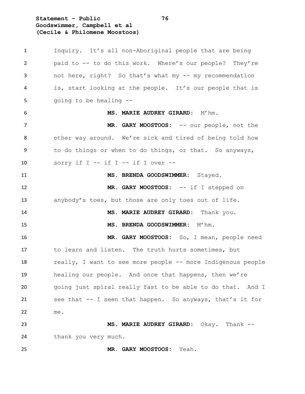**Statement – Public 76 Goodswimmer, Campbell et al (Cecile & Philomene Moostoos)**

 Inquiry. It's all non-Aboriginal people that are being paid to -- to do this work. Where's our people? They're not here, right? So that's what my -- my recommendation is, start looking at the people. It's our people that is 5 going to be healing -- **MS. MARIE AUDREY GIRARD:** M'hm. **MR. GARY MOOSTOOS:** -- our people, not the other way around. We're sick and tired of being told how to do things or when to do things, or that. So anyways, 10 sorry if  $I - -$  if  $I - -$  if  $I$  over  $-$  **MS. BRENDA GOODSWIMMER:** Stayed. **MR. GARY MOOSTOOS:** -- if I stepped on anybody's toes, but those are only toes out of life. **MS. MARIE AUDREY GIRARD:** Thank you. **MS. BRENDA GOODSWIMMER:** M'hm. **MR. GARY MOOSTOOS:** So, I mean, people need to learn and listen. The truth hurts sometimes, but really, I want to see more people -- more Indigenous people healing our people. And once that happens, then we're going just spiral really fast to be able to do that. And I see that -- I seen that happen. So anyways, that's it for me. **MS. MARIE AUDREY GIRARD:** Okay. Thank -- thank you very much.

**MR. GARY MOOSTOOS:** Yeah.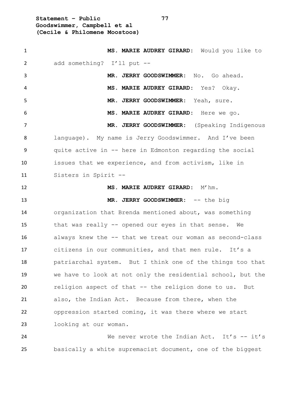**Statement – Public 77 Goodswimmer, Campbell et al (Cecile & Philomene Moostoos)**

 **MS. MARIE AUDREY GIRARD:** Would you like to add something? I'll put -- **MR. JERRY GOODSWIMMER:** No. Go ahead. **MS. MARIE AUDREY GIRARD:** Yes? Okay. **MR. JERRY GOODSWIMMER:** Yeah, sure. **MS. MARIE AUDREY GIRARD:** Here we go. **MR. JERRY GOODSWIMMER:** (Speaking Indigenous language). My name is Jerry Goodswimmer. And I've been quite active in -- here in Edmonton regarding the social issues that we experience, and from activism, like in Sisters in Spirit -- **MS. MARIE AUDREY GIRARD:** M'hm. **MR. JERRY GOODSWIMMER:** -- the big organization that Brenda mentioned about, was something that was really -- opened our eyes in that sense. We always knew the -- that we treat our woman as second-class citizens in our communities, and that men rule. It's a patriarchal system. But I think one of the things too that we have to look at not only the residential school, but the religion aspect of that -- the religion done to us. But also, the Indian Act. Because from there, when the oppression started coming, it was there where we start looking at our woman. 24 We never wrote the Indian Act. It's -- it's

basically a white supremacist document, one of the biggest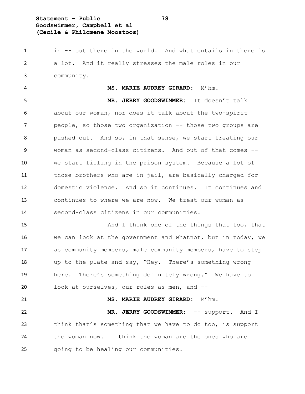# **Statement – Public 78 Goodswimmer, Campbell et al (Cecile & Philomene Moostoos)**

 in -- out there in the world. And what entails in there is a lot. And it really stresses the male roles in our community.

 **MS. MARIE AUDREY GIRARD:** M'hm. **MR. JERRY GOODSWIMMER:** It doesn't talk about our woman, nor does it talk about the two-spirit **people, so those two organization -- those two groups are**  pushed out. And so, in that sense, we start treating our woman as second-class citizens. And out of that comes -- we start filling in the prison system. Because a lot of those brothers who are in jail, are basically charged for domestic violence. And so it continues. It continues and continues to where we are now. We treat our woman as second-class citizens in our communities.

15 And I think one of the things that too, that we can look at the government and whatnot, but in today, we as community members, male community members, have to step up to the plate and say, "Hey. There's something wrong here. There's something definitely wrong." We have to look at ourselves, our roles as men, and --

 **MR. JERRY GOODSWIMMER:** -- support. And I think that's something that we have to do too, is support the woman now. I think the woman are the ones who are going to be healing our communities.

**MS. MARIE AUDREY GIRARD:** M'hm.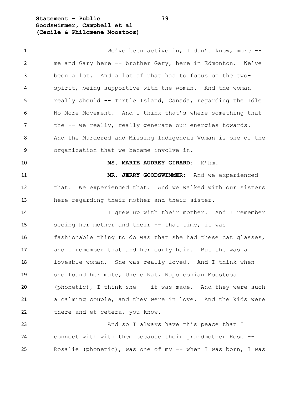**Statement – Public 79 Goodswimmer, Campbell et al (Cecile & Philomene Moostoos)**

 We've been active in, I don't know, more -- me and Gary here -- brother Gary, here in Edmonton. We've been a lot. And a lot of that has to focus on the two- spirit, being supportive with the woman. And the woman really should -- Turtle Island, Canada, regarding the Idle No More Movement. And I think that's where something that 7 the -- we really, really generate our energies towards. And the Murdered and Missing Indigenous Woman is one of the organization that we became involve in. **MS. MARIE AUDREY GIRARD:** M'hm. **MR. JERRY GOODSWIMMER:** And we experienced that. We experienced that. And we walked with our sisters here regarding their mother and their sister. I grew up with their mother. And I remember seeing her mother and their -- that time, it was fashionable thing to do was that she had these cat glasses, and I remember that and her curly hair. But she was a loveable woman. She was really loved. And I think when she found her mate, Uncle Nat, Napoleonian Moostoos (phonetic), I think she -- it was made. And they were such a calming couple, and they were in love. And the kids were 22 there and et cetera, you know. 23 And so I always have this peace that I connect with with them because their grandmother Rose --

Rosalie (phonetic), was one of my -- when I was born, I was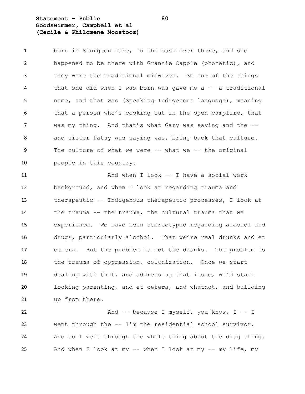# **Statement – Public 80 Goodswimmer, Campbell et al (Cecile & Philomene Moostoos)**

1 born in Sturgeon Lake, in the bush over there, and she happened to be there with Grannie Capple (phonetic), and they were the traditional midwives. So one of the things that she did when I was born was gave me a -- a traditional name, and that was (Speaking Indigenous language), meaning 6 that a person who's cooking out in the open campfire, that was my thing. And that's what Gary was saying and the -- and sister Patsy was saying was, bring back that culture. The culture of what we were -- what we -- the original people in this country.

 And when I look -- I have a social work background, and when I look at regarding trauma and therapeutic -- Indigenous therapeutic processes, I look at the trauma -- the trauma, the cultural trauma that we experience. We have been stereotyped regarding alcohol and drugs, particularly alcohol. That we're real drunks and et cetera. But the problem is not the drunks. The problem is 18 the trauma of oppression, colonization. Once we start dealing with that, and addressing that issue, we'd start looking parenting, and et cetera, and whatnot, and building up from there.

22 And -- because I myself, you know, I -- I went through the -- I'm the residential school survivor. And so I went through the whole thing about the drug thing. And when I look at my -- when I look at my -- my life, my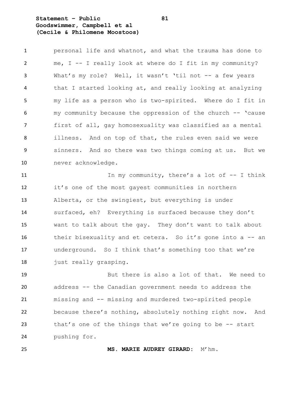### **Statement – Public 81 Goodswimmer, Campbell et al (Cecile & Philomene Moostoos)**

 personal life and whatnot, and what the trauma has done to me, I -- I really look at where do I fit in my community? What's my role? Well, it wasn't 'til not -- a few years that I started looking at, and really looking at analyzing my life as a person who is two-spirited. Where do I fit in my community because the oppression of the church -- 'cause first of all, gay homosexuality was classified as a mental illness. And on top of that, the rules even said we were sinners. And so there was two things coming at us. But we never acknowledge.

11 In my community, there's a lot of  $-$  I think it's one of the most gayest communities in northern Alberta, or the swingiest, but everything is under surfaced, eh? Everything is surfaced because they don't want to talk about the gay. They don't want to talk about 16 their bisexuality and et cetera. So it's gone into a -- an underground. So I think that's something too that we're 18 just really grasping.

 But there is also a lot of that. We need to address -- the Canadian government needs to address the missing and -- missing and murdered two-spirited people because there's nothing, absolutely nothing right now. And that's one of the things that we're going to be -- start pushing for.

**MS. MARIE AUDREY GIRARD:** M'hm.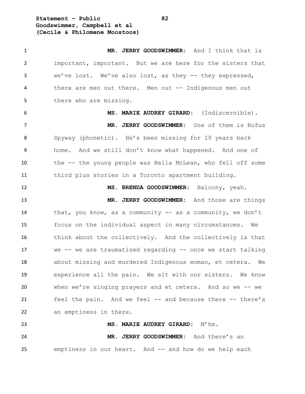**Statement – Public 82 Goodswimmer, Campbell et al (Cecile & Philomene Moostoos)**

| $\mathbf{1}$ | MR. JERRY GOODSWIMMER: And I think that is                  |
|--------------|-------------------------------------------------------------|
| 2            | important, important. But we are here for the sisters that  |
| 3            | we've lost. We've also lost, as they $--$ they expressed,   |
| 4            | there are men out there. Men out -- Indigenous men out      |
| 5            | there who are missing.                                      |
| 6            | MS. MARIE AUDREY GIRARD: (Indiscernible).                   |
| 7            | MR. JERRY GOODSWIMMER: One of them is Rufus                 |
| 8            | Spyway (phonetic). He's been missing for 19 years back      |
| 9            | home. And we still don't know what happened. And one of     |
| 10           | the -- the young people was Bella McLean, who fell off some |
| 11           | third plus stories in a Toronto apartment building.         |
| 12           | MS. BRENDA GOODSWIMMER: Balcony, yeah.                      |
| 13           | MR. JERRY GOODSWIMMER: And those are things                 |
| 14           | that, you know, as a community -- as a community, we don't  |
| 15           | focus on the individual aspect in many circumstances. We    |
| 16           | think about the collectively. And the collectively is that  |
| 17           | we -- we are traumatized regarding -- once we start talking |
| 18           | about missing and murdered Indigenous woman, et cetera. We  |
| 19           | experience all the pain. We sit with our sisters. We know   |
| 20           | when we're singing prayers and et cetera. And so we -- we   |
| 21           | feel the pain. And we feel -- and because there -- there's  |
| 22           | an emptiness in there.                                      |
| 23           | MS. MARIE AUDREY GIRARD: M'hm.                              |
| 24           | MR. JERRY GOODSWIMMER: And there's an                       |
| 25           | emptiness in our heart. And -- and how do we help each      |
|              |                                                             |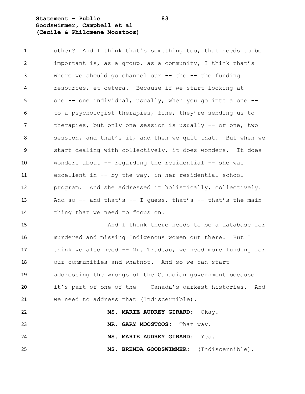### **Statement – Public 83 Goodswimmer, Campbell et al (Cecile & Philomene Moostoos)**

 other? And I think that's something too, that needs to be important is, as a group, as a community, I think that's where we should go channel our -- the -- the funding resources, et cetera. Because if we start looking at one -- one individual, usually, when you go into a one -- to a psychologist therapies, fine, they're sending us to therapies, but only one session is usually -- or one, two session, and that's it, and then we quit that. But when we start dealing with collectively, it does wonders. It does wonders about -- regarding the residential -- she was excellent in -- by the way, in her residential school program. And she addressed it holistically, collectively. 13 And so -- and that's -- I quess, that's -- that's the main thing that we need to focus on.

 And I think there needs to be a database for murdered and missing Indigenous women out there. But I think we also need -- Mr. Trudeau, we need more funding for our communities and whatnot. And so we can start addressing the wrongs of the Canadian government because it's part of one of the -- Canada's darkest histories. And we need to address that (Indiscernible).

 **MS. MARIE AUDREY GIRARD:** Okay. **MR. GARY MOOSTOOS:** That way. **MS. MARIE AUDREY GIRARD:** Yes. **MS. BRENDA GOODSWIMMER:** (Indiscernible).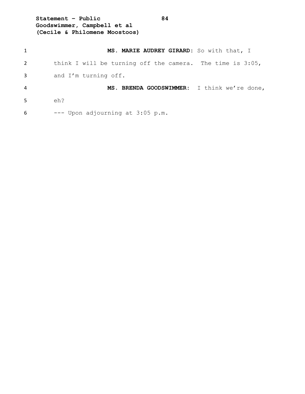**Statement – Public 84 Goodswimmer, Campbell et al (Cecile & Philomene Moostoos)**

| $\mathbf{1}$ | MS. MARIE AUDREY GIRARD: So with that, I                     |
|--------------|--------------------------------------------------------------|
| 2            | think I will be turning off the camera. The time is $3:05$ , |
| 3            | and I'm turning off.                                         |
| 4            | MS. BRENDA GOODSWIMMER: I think we're done,                  |
| .5           | eh?                                                          |
| 6            | --- Upon adjourning at 3:05 p.m.                             |